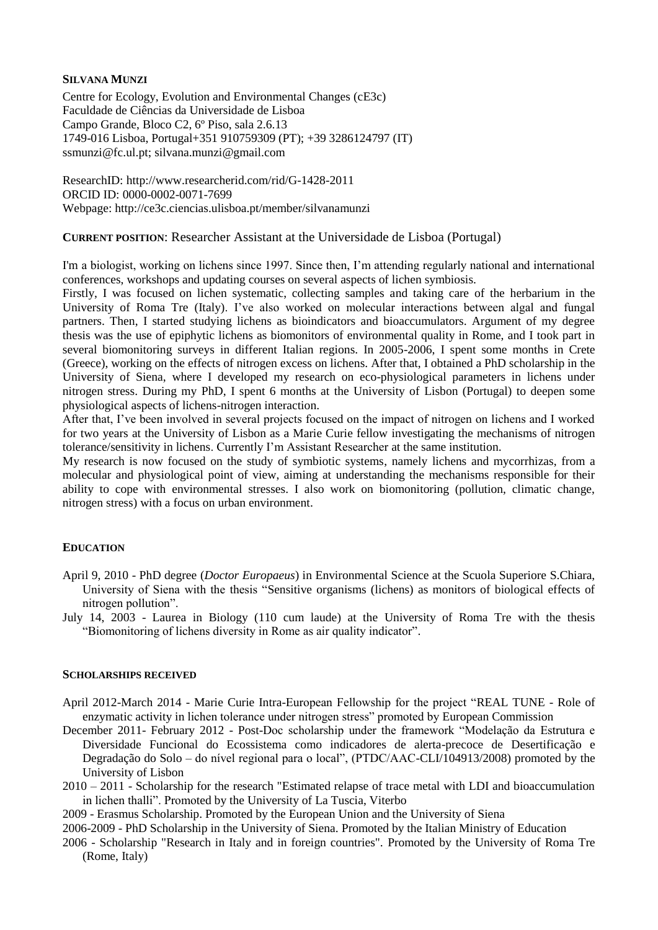## **SILVANA MUNZI**

Centre for Ecology, Evolution and Environmental Changes (cE3c) Faculdade de Ciências da Universidade de Lisboa Campo Grande, Bloco C2, 6º Piso, sala 2.6.13 1749-016 Lisboa, Portugal+351 910759309 (PT); +39 3286124797 (IT) ssmunzi@fc.ul.pt; silvana.munzi@gmail.com

ResearchID: http://www.researcherid.com/rid/G-1428-2011 ORCID ID: 0000-0002-0071-7699 Webpage: http://ce3c.ciencias.ulisboa.pt/member/silvanamunzi

# **CURRENT POSITION**: Researcher Assistant at the Universidade de Lisboa (Portugal)

I'm a biologist, working on lichens since 1997. Since then, I'm attending regularly national and international conferences, workshops and updating courses on several aspects of lichen symbiosis.

Firstly, I was focused on lichen systematic, collecting samples and taking care of the herbarium in the University of Roma Tre (Italy). I've also worked on molecular interactions between algal and fungal partners. Then, I started studying lichens as bioindicators and bioaccumulators. Argument of my degree thesis was the use of epiphytic lichens as biomonitors of environmental quality in Rome, and I took part in several biomonitoring surveys in different Italian regions. In 2005-2006, I spent some months in Crete (Greece), working on the effects of nitrogen excess on lichens. After that, I obtained a PhD scholarship in the University of Siena, where I developed my research on eco-physiological parameters in lichens under nitrogen stress. During my PhD, I spent 6 months at the University of Lisbon (Portugal) to deepen some physiological aspects of lichens-nitrogen interaction.

After that, I've been involved in several projects focused on the impact of nitrogen on lichens and I worked for two years at the University of Lisbon as a Marie Curie fellow investigating the mechanisms of nitrogen tolerance/sensitivity in lichens. Currently I'm Assistant Researcher at the same institution.

My research is now focused on the study of symbiotic systems, namely lichens and mycorrhizas, from a molecular and physiological point of view, aiming at understanding the mechanisms responsible for their ability to cope with environmental stresses. I also work on biomonitoring (pollution, climatic change, nitrogen stress) with a focus on urban environment.

# **EDUCATION**

- April 9, 2010 PhD degree (*Doctor Europaeus*) in Environmental Science at the Scuola Superiore S.Chiara, University of Siena with the thesis "Sensitive organisms (lichens) as monitors of biological effects of nitrogen pollution".
- July 14, 2003 Laurea in Biology (110 cum laude) at the University of Roma Tre with the thesis "Biomonitoring of lichens diversity in Rome as air quality indicator".

## **SCHOLARSHIPS RECEIVED**

- April 2012-March 2014 Marie Curie Intra-European Fellowship for the project "REAL TUNE Role of enzymatic activity in lichen tolerance under nitrogen stress" promoted by European Commission
- December 2011- February 2012 Post-Doc scholarship under the framework "Modelação da Estrutura e Diversidade Funcional do Ecossistema como indicadores de alerta-precoce de Desertificação e Degradação do Solo – do nível regional para o local", (PTDC/AAC-CLI/104913/2008) promoted by the University of Lisbon
- 2010 2011 Scholarship for the research "Estimated relapse of trace metal with LDI and bioaccumulation in lichen thalli". Promoted by the University of La Tuscia, Viterbo
- 2009 Erasmus Scholarship. Promoted by the European Union and the University of Siena
- 2006-2009 PhD Scholarship in the University of Siena. Promoted by the Italian Ministry of Education
- 2006 Scholarship "Research in Italy and in foreign countries". Promoted by the University of Roma Tre (Rome, Italy)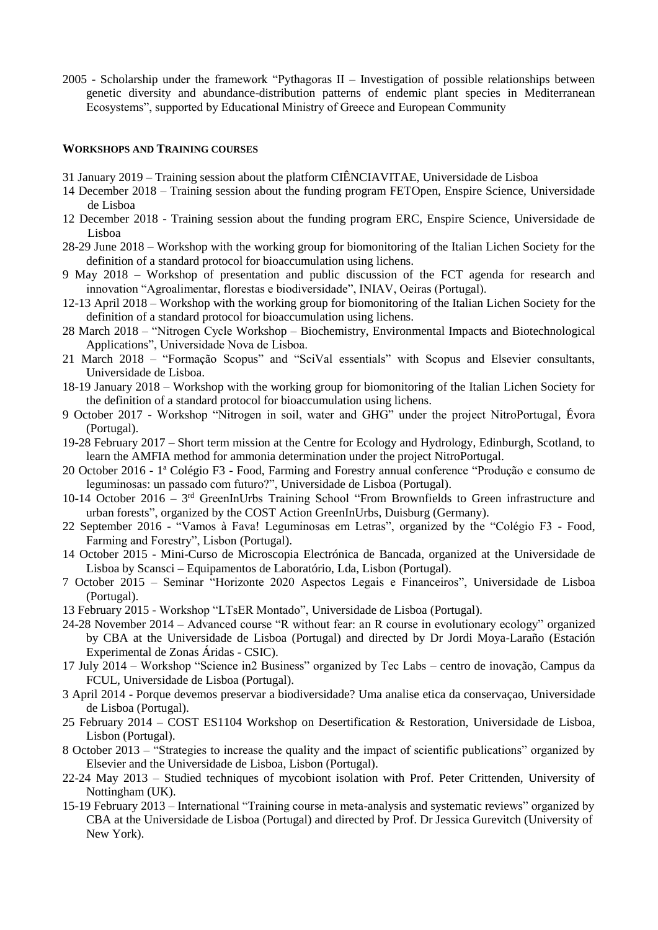2005 - Scholarship under the framework "Pythagoras II – Investigation of possible relationships between genetic diversity and abundance-distribution patterns of endemic plant species in Mediterranean Ecosystems", supported by Educational Ministry of Greece and European Community

### **WORKSHOPS AND TRAINING COURSES**

- 31 January 2019 Training session about the platform CIÊNCIAVITAE, Universidade de Lisboa
- 14 December 2018 Training session about the funding program FETOpen, Enspire Science, Universidade de Lisboa
- 12 December 2018 Training session about the funding program ERC, Enspire Science, Universidade de Lisboa
- 28-29 June 2018 Workshop with the working group for biomonitoring of the Italian Lichen Society for the definition of a standard protocol for bioaccumulation using lichens.
- 9 May 2018 Workshop of presentation and public discussion of the FCT agenda for research and innovation "Agroalimentar, florestas e biodiversidade", INIAV, Oeiras (Portugal).
- 12-13 April 2018 Workshop with the working group for biomonitoring of the Italian Lichen Society for the definition of a standard protocol for bioaccumulation using lichens.
- 28 March 2018 "Nitrogen Cycle Workshop Biochemistry, Environmental Impacts and Biotechnological Applications", Universidade Nova de Lisboa.
- 21 March 2018 "Formação Scopus" and "SciVal essentials" with Scopus and Elsevier consultants, Universidade de Lisboa.
- 18-19 January 2018 Workshop with the working group for biomonitoring of the Italian Lichen Society for the definition of a standard protocol for bioaccumulation using lichens.
- 9 October 2017 Workshop "Nitrogen in soil, water and GHG" under the project NitroPortugal, Évora (Portugal).
- 19-28 February 2017 Short term mission at the Centre for Ecology and Hydrology, Edinburgh, Scotland, to learn the AMFIA method for ammonia determination under the project NitroPortugal.
- 20 October 2016 1ª Colégio F3 Food, Farming and Forestry annual conference "Produção e consumo de leguminosas: un passado com futuro?", Universidade de Lisboa (Portugal).
- 10-14 October 2016 3<sup>rd</sup> GreenInUrbs Training School "From Brownfields to Green infrastructure and urban forests", organized by the COST Action GreenInUrbs, Duisburg (Germany).
- 22 September 2016 "Vamos à Fava! Leguminosas em Letras", organized by the "Colégio F3 Food, Farming and Forestry", Lisbon (Portugal).
- 14 October 2015 Mini-Curso de Microscopia Electrónica de Bancada, organized at the Universidade de Lisboa by Scansci – Equipamentos de Laboratório, Lda, Lisbon (Portugal).
- 7 October 2015 Seminar "Horizonte 2020 Aspectos Legais e Financeiros", Universidade de Lisboa (Portugal).
- 13 February 2015 Workshop "LTsER Montado", Universidade de Lisboa (Portugal).
- 24-28 November 2014 Advanced course "R without fear: an R course in evolutionary ecology" organized by CBA at the Universidade de Lisboa (Portugal) and directed by Dr Jordi Moya-Laraño (Estación Experimental de Zonas Áridas - CSIC).
- 17 July 2014 Workshop "Science in2 Business" organized by Tec Labs centro de inovação, Campus da FCUL, Universidade de Lisboa (Portugal).
- 3 April 2014 Porque devemos preservar a biodiversidade? Uma analise etica da conservaçao, Universidade de Lisboa (Portugal).
- 25 February 2014 COST ES1104 Workshop on Desertification & Restoration, Universidade de Lisboa, Lisbon (Portugal).
- 8 October 2013 "Strategies to increase the quality and the impact of scientific publications" organized by Elsevier and the Universidade de Lisboa, Lisbon (Portugal).
- 22-24 May 2013 Studied techniques of mycobiont isolation with Prof. Peter Crittenden, University of Nottingham (UK).
- 15-19 February 2013 International "Training course in meta-analysis and systematic reviews" organized by CBA at the Universidade de Lisboa (Portugal) and directed by Prof. Dr Jessica Gurevitch (University of New York).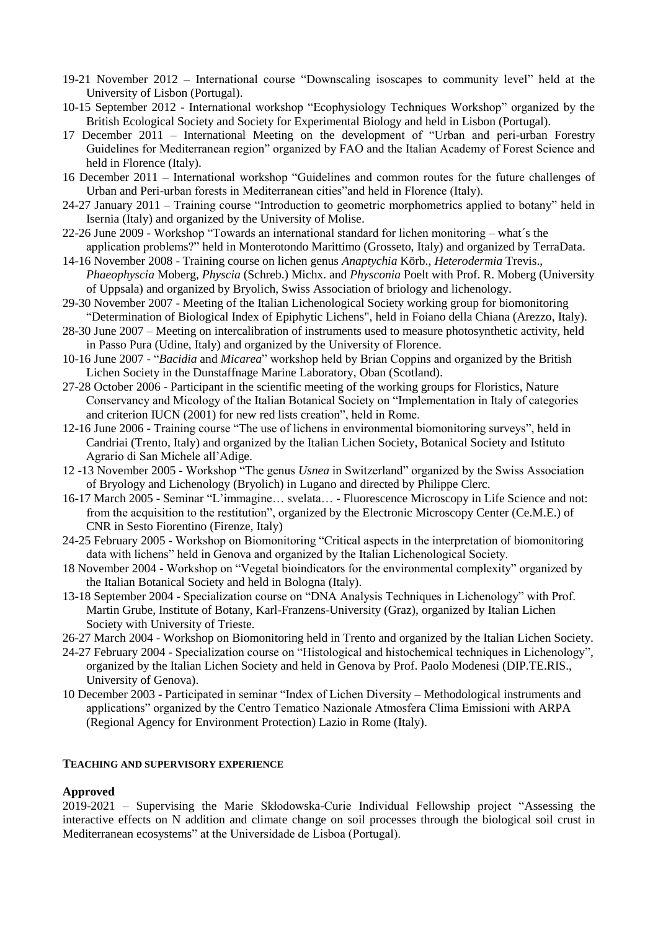- 19-21 November 2012 International course "Downscaling isoscapes to community level" held at the University of Lisbon (Portugal).
- 10-15 September 2012 International workshop "Ecophysiology Techniques Workshop" organized by the British Ecological Society and Society for Experimental Biology and held in Lisbon (Portugal).
- 17 December 2011 International Meeting on the development of "Urban and peri-urban Forestry Guidelines for Mediterranean region" organized by FAO and the Italian Academy of Forest Science and held in Florence (Italy).
- 16 December 2011 International workshop "Guidelines and common routes for the future challenges of Urban and Peri-urban forests in Mediterranean cities"and held in Florence (Italy).
- 24-27 January 2011 Training course "Introduction to geometric morphometrics applied to botany" held in Isernia (Italy) and organized by the University of Molise.
- 22-26 June 2009 Workshop "Towards an international standard for lichen monitoring what´s the application problems?" held in Monterotondo Marittimo (Grosseto, Italy) and organized by TerraData.
- 14-16 November 2008 Training course on lichen genus *Anaptychia* Körb., *Heterodermia* Trevis., *Phaeophyscia* Moberg, *Physcia* (Schreb.) Michx. and *Physconia* Poelt with Prof. R. Moberg (University of Uppsala) and organized by Bryolich, Swiss Association of briology and lichenology.
- 29-30 November 2007 Meeting of the Italian Lichenological Society working group for biomonitoring "Determination of Biological Index of Epiphytic Lichens", held in Foiano della Chiana (Arezzo, Italy).
- 28-30 June 2007 Meeting on intercalibration of instruments used to measure photosynthetic activity, held in Passo Pura (Udine, Italy) and organized by the University of Florence.
- 10-16 June 2007 "*Bacidia* and *Micarea*" workshop held by Brian Coppins and organized by the British Lichen Society in the Dunstaffnage Marine Laboratory, Oban (Scotland).
- 27-28 October 2006 Participant in the scientific meeting of the working groups for Floristics, Nature Conservancy and Micology of the Italian Botanical Society on "Implementation in Italy of categories and criterion IUCN (2001) for new red lists creation", held in Rome.
- 12-16 June 2006 Training course "The use of lichens in environmental biomonitoring surveys", held in Candriai (Trento, Italy) and organized by the Italian Lichen Society, Botanical Society and Istituto Agrario di San Michele all'Adige.
- 12 -13 November 2005 Workshop "The genus *Usnea* in Switzerland" organized by the Swiss Association of Bryology and Lichenology (Bryolich) in Lugano and directed by Philippe Clerc.
- 16-17 March 2005 Seminar "L'immagine… svelata… Fluorescence Microscopy in Life Science and not: from the acquisition to the restitution", organized by the Electronic Microscopy Center (Ce.M.E.) of CNR in Sesto Fiorentino (Firenze, Italy)
- 24-25 February 2005 Workshop on Biomonitoring "Critical aspects in the interpretation of biomonitoring data with lichens" held in Genova and organized by the Italian Lichenological Society.
- 18 November 2004 Workshop on "Vegetal bioindicators for the environmental complexity" organized by the Italian Botanical Society and held in Bologna (Italy).
- 13-18 September 2004 Specialization course on "DNA Analysis Techniques in Lichenology" with Prof. Martin Grube, Institute of Botany, Karl-Franzens-University (Graz), organized by Italian Lichen Society with University of Trieste.
- 26-27 March 2004 Workshop on Biomonitoring held in Trento and organized by the Italian Lichen Society.
- 24-27 February 2004 Specialization course on "Histological and histochemical techniques in Lichenology", organized by the Italian Lichen Society and held in Genova by Prof. Paolo Modenesi (DIP.TE.RIS., University of Genova).
- 10 December 2003 Participated in seminar "Index of Lichen Diversity Methodological instruments and applications" organized by the Centro Tematico Nazionale Atmosfera Clima Emissioni with ARPA (Regional Agency for Environment Protection) Lazio in Rome (Italy).

## **TEACHING AND SUPERVISORY EXPERIENCE**

# **Approved**

2019-2021 – Supervising the Marie Skłodowska-Curie Individual Fellowship project "Assessing the interactive effects on N addition and climate change on soil processes through the biological soil crust in Mediterranean ecosystems" at the Universidade de Lisboa (Portugal).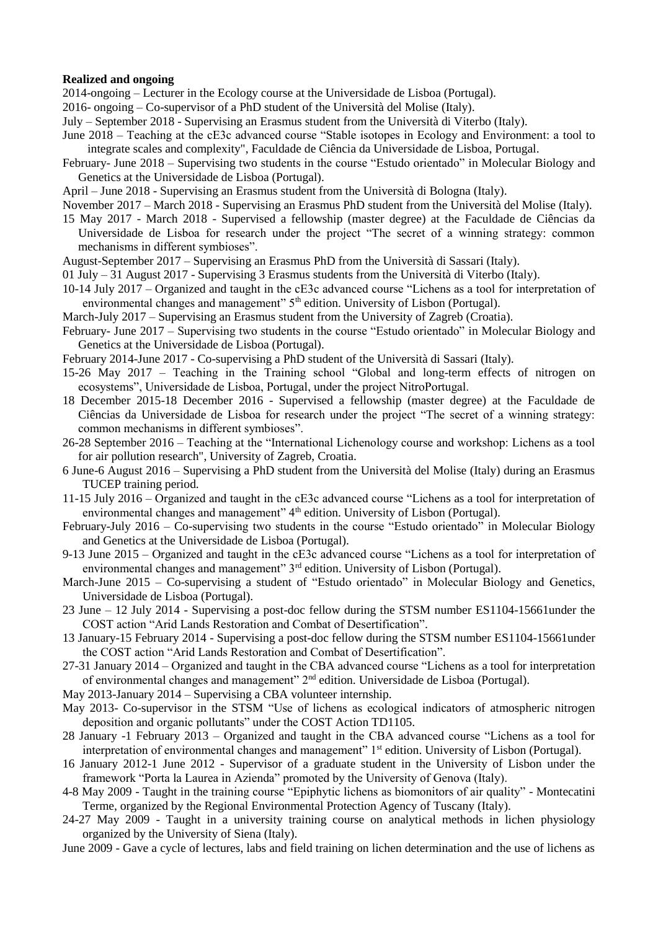### **Realized and ongoing**

2014-ongoing – Lecturer in the Ecology course at the Universidade de Lisboa (Portugal).

- 2016- ongoing Co-supervisor of a PhD student of the Università del Molise (Italy).
- July September 2018 Supervising an Erasmus student from the Università di Viterbo (Italy).
- June 2018 Teaching at the cE3c advanced course "Stable isotopes in Ecology and Environment: a tool to integrate scales and complexity", Faculdade de Ciência da Universidade de Lisboa, Portugal.
- February- June 2018 Supervising two students in the course "Estudo orientado" in Molecular Biology and Genetics at the Universidade de Lisboa (Portugal).
- April June 2018 Supervising an Erasmus student from the Università di Bologna (Italy).
- November 2017 March 2018 Supervising an Erasmus PhD student from the Università del Molise (Italy).
- 15 May 2017 March 2018 Supervised a fellowship (master degree) at the Faculdade de Ciências da Universidade de Lisboa for research under the project "The secret of a winning strategy: common mechanisms in different symbioses".
- August-September 2017 Supervising an Erasmus PhD from the Università di Sassari (Italy).
- 01 July 31 August 2017 Supervising 3 Erasmus students from the Università di Viterbo (Italy).
- 10-14 July 2017 Organized and taught in the cE3c advanced course "Lichens as a tool for interpretation of environmental changes and management"  $5<sup>th</sup>$  edition. University of Lisbon (Portugal).
- March-July 2017 Supervising an Erasmus student from the University of Zagreb (Croatia).
- February- June 2017 Supervising two students in the course "Estudo orientado" in Molecular Biology and Genetics at the Universidade de Lisboa (Portugal).
- February 2014-June 2017 Co-supervising a PhD student of the Università di Sassari (Italy).
- 15-26 May 2017 Teaching in the Training school "Global and long-term effects of nitrogen on ecosystems", Universidade de Lisboa, Portugal, under the project NitroPortugal.
- 18 December 2015-18 December 2016 Supervised a fellowship (master degree) at the Faculdade de Ciências da Universidade de Lisboa for research under the project "The secret of a winning strategy: common mechanisms in different symbioses".
- 26-28 September 2016 Teaching at the "International Lichenology course and workshop: Lichens as a tool for air pollution research", University of Zagreb, Croatia.
- 6 June-6 August 2016 Supervising a PhD student from the Università del Molise (Italy) during an Erasmus TUCEP training period.
- 11-15 July 2016 Organized and taught in the cE3c advanced course "Lichens as a tool for interpretation of environmental changes and management" 4<sup>th</sup> edition. University of Lisbon (Portugal).
- February-July 2016 Co-supervising two students in the course "Estudo orientado" in Molecular Biology and Genetics at the Universidade de Lisboa (Portugal).
- 9-13 June 2015 Organized and taught in the cE3c advanced course "Lichens as a tool for interpretation of environmental changes and management" 3<sup>rd</sup> edition. University of Lisbon (Portugal).
- March-June 2015 Co-supervising a student of "Estudo orientado" in Molecular Biology and Genetics, Universidade de Lisboa (Portugal).
- 23 June 12 July 2014 Supervising a post-doc fellow during the STSM number ES1104-15661under the COST action "Arid Lands Restoration and Combat of Desertification".
- 13 January-15 February 2014 Supervising a post-doc fellow during the STSM number ES1104-15661under the COST action "Arid Lands Restoration and Combat of Desertification".
- 27-31 January 2014 Organized and taught in the CBA advanced course "Lichens as a tool for interpretation of environmental changes and management" 2nd edition. Universidade de Lisboa (Portugal).
- May 2013-January 2014 Supervising a CBA volunteer internship.
- May 2013- Co-supervisor in the STSM "Use of lichens as ecological indicators of atmospheric nitrogen deposition and organic pollutants" under the COST Action TD1105.
- 28 January -1 February 2013 Organized and taught in the CBA advanced course "Lichens as a tool for interpretation of environmental changes and management" 1<sup>st</sup> edition. University of Lisbon (Portugal).
- 16 January 2012-1 June 2012 Supervisor of a graduate student in the University of Lisbon under the framework "Porta la Laurea in Azienda" promoted by the University of Genova (Italy).
- 4-8 May 2009 Taught in the training course "Epiphytic lichens as biomonitors of air quality" Montecatini Terme, organized by the Regional Environmental Protection Agency of Tuscany (Italy).
- 24-27 May 2009 Taught in a university training course on analytical methods in lichen physiology organized by the University of Siena (Italy).
- June 2009 Gave a cycle of lectures, labs and field training on lichen determination and the use of lichens as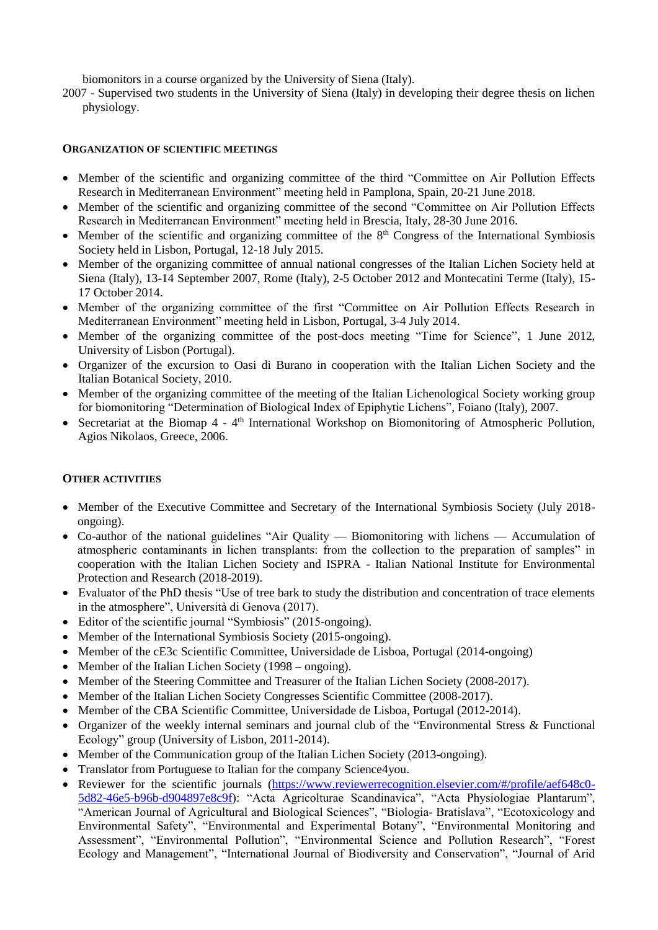biomonitors in a course organized by the University of Siena (Italy).

2007 - Supervised two students in the University of Siena (Italy) in developing their degree thesis on lichen physiology.

# **ORGANIZATION OF SCIENTIFIC MEETINGS**

- Member of the scientific and organizing committee of the third "Committee on Air Pollution Effects Research in Mediterranean Environment" meeting held in Pamplona, Spain, 20-21 June 2018.
- Member of the scientific and organizing committee of the second "Committee on Air Pollution Effects" Research in Mediterranean Environment" meeting held in Brescia, Italy, 28-30 June 2016.
- Member of the scientific and organizing committee of the  $8<sup>th</sup>$  Congress of the International Symbiosis Society held in Lisbon, Portugal, 12-18 July 2015.
- Member of the organizing committee of annual national congresses of the Italian Lichen Society held at Siena (Italy), 13-14 September 2007, Rome (Italy), 2-5 October 2012 and Montecatini Terme (Italy), 15- 17 October 2014.
- Member of the organizing committee of the first "Committee on Air Pollution Effects Research in Mediterranean Environment" meeting held in Lisbon, Portugal, 3-4 July 2014.
- Member of the organizing committee of the post-docs meeting "Time for Science", 1 June 2012, University of Lisbon (Portugal).
- Organizer of the excursion to Oasi di Burano in cooperation with the Italian Lichen Society and the Italian Botanical Society, 2010.
- Member of the organizing committee of the meeting of the Italian Lichenological Society working group for biomonitoring "Determination of Biological Index of Epiphytic Lichens", Foiano (Italy), 2007.
- Secretariat at the Biomap 4 4<sup>th</sup> International Workshop on Biomonitoring of Atmospheric Pollution, Agios Nikolaos, Greece, 2006.

# **OTHER ACTIVITIES**

- Member of the Executive Committee and Secretary of the International Symbiosis Society (July 2018ongoing).
- Co-author of the national guidelines "Air Quality Biomonitoring with lichens Accumulation of atmospheric contaminants in lichen transplants: from the collection to the preparation of samples" in cooperation with the Italian Lichen Society and ISPRA - Italian National Institute for Environmental Protection and Research (2018-2019).
- Evaluator of the PhD thesis "Use of tree bark to study the distribution and concentration of trace elements in the atmosphere", Università di Genova (2017).
- Editor of the scientific journal "Symbiosis" (2015-ongoing).
- Member of the International Symbiosis Society (2015-ongoing).
- Member of the cE3c Scientific Committee, Universidade de Lisboa, Portugal (2014-ongoing)
- Member of the Italian Lichen Society (1998 ongoing).
- Member of the Steering Committee and Treasurer of the Italian Lichen Society (2008-2017).
- Member of the Italian Lichen Society Congresses Scientific Committee (2008-2017).
- Member of the CBA Scientific Committee, Universidade de Lisboa, Portugal (2012-2014).
- Organizer of the weekly internal seminars and journal club of the "Environmental Stress & Functional Ecology" group (University of Lisbon, 2011-2014).
- Member of the Communication group of the Italian Lichen Society (2013-ongoing).
- Translator from Portuguese to Italian for the company Science4you.
- Reviewer for the scientific journals [\(https://www.reviewerrecognition.elsevier.com/#/profile/aef648c0-](https://www.reviewerrecognition.elsevier.com/#/profile/aef648c0-5d82-46e5-b96b-d904897e8c9f) [5d82-46e5-b96b-d904897e8c9f\)](https://www.reviewerrecognition.elsevier.com/#/profile/aef648c0-5d82-46e5-b96b-d904897e8c9f): "Acta Agricolturae Scandinavica", "Acta Physiologiae Plantarum", "American Journal of Agricultural and Biological Sciences", "Biologia- Bratislava", "Ecotoxicology and Environmental Safety", "Environmental and Experimental Botany", "Environmental Monitoring and Assessment", "Environmental Pollution", "Environmental Science and Pollution Research", "Forest Ecology and Management", "International Journal of Biodiversity and Conservation", "Journal of Arid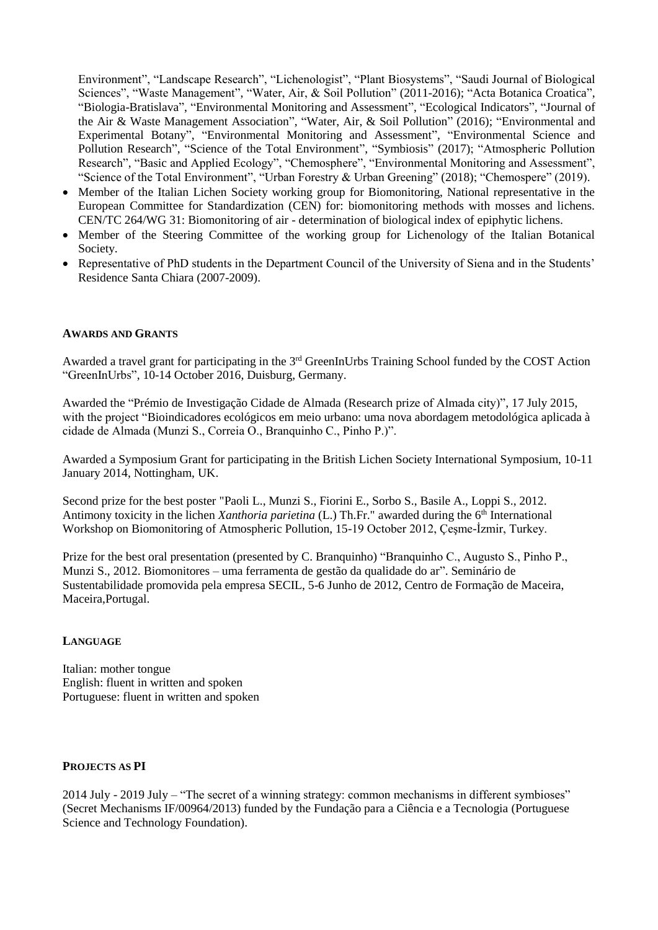Environment", "Landscape Research", "Lichenologist", "Plant Biosystems", "Saudi Journal of Biological Sciences", "Waste Management", "Water, Air, & Soil Pollution" (2011-2016); "Acta Botanica Croatica", "Biologia-Bratislava", "Environmental Monitoring and Assessment", "Ecological Indicators", "Journal of the Air & Waste Management Association", "Water, Air, & Soil Pollution" (2016); "Environmental and Experimental Botany", "Environmental Monitoring and Assessment", "Environmental Science and Pollution Research", "Science of the Total Environment", "Symbiosis" (2017); "Atmospheric Pollution Research", "Basic and Applied Ecology", "Chemosphere", "Environmental Monitoring and Assessment", "Science of the Total Environment", "Urban Forestry & Urban Greening" (2018); "Chemospere" (2019).

- Member of the Italian Lichen Society working group for Biomonitoring, National representative in the European Committee for Standardization (CEN) for: biomonitoring methods with mosses and lichens. CEN/TC 264/WG 31: Biomonitoring of air - determination of biological index of epiphytic lichens.
- Member of the Steering Committee of the working group for Lichenology of the Italian Botanical Society.
- Representative of PhD students in the Department Council of the University of Siena and in the Students' Residence Santa Chiara (2007-2009).

## **AWARDS AND GRANTS**

Awarded a travel grant for participating in the 3<sup>rd</sup> GreenInUrbs Training School funded by the COST Action "GreenInUrbs", 10-14 October 2016, Duisburg, Germany.

Awarded the "Prémio de Investigação Cidade de Almada (Research prize of Almada city)", 17 July 2015, with the project "Bioindicadores ecológicos em meio urbano: uma nova abordagem metodológica aplicada à cidade de Almada (Munzi S., Correia O., Branquinho C., Pinho P.)".

Awarded a Symposium Grant for participating in the British Lichen Society International Symposium, 10-11 January 2014, Nottingham, UK.

Second prize for the best poster "Paoli L., Munzi S., Fiorini E., Sorbo S., Basile A., Loppi S., 2012. Antimony toxicity in the lichen *Xanthoria parietina* (L.) Th.Fr." awarded during the 6<sup>th</sup> International Workshop on Biomonitoring of Atmospheric Pollution, 15-19 October 2012, Çeşme-İzmir, Turkey.

Prize for the best oral presentation (presented by C. Branquinho) "Branquinho C., Augusto S., Pinho P., Munzi S., 2012. Biomonitores – uma ferramenta de gestão da qualidade do ar". Seminário de Sustentabilidade promovida pela empresa SECIL, 5-6 Junho de 2012, Centro de Formação de Maceira, Maceira,Portugal.

#### **LANGUAGE**

Italian: mother tongue English: fluent in written and spoken Portuguese: fluent in written and spoken

# **PROJECTS AS PI**

2014 July - 2019 July – "The secret of a winning strategy: common mechanisms in different symbioses" (Secret Mechanisms IF/00964/2013) funded by the [Fundação para a Ciência e a Tecnologia](http://www.fct.pt/) (Portuguese Science and Technology Foundation).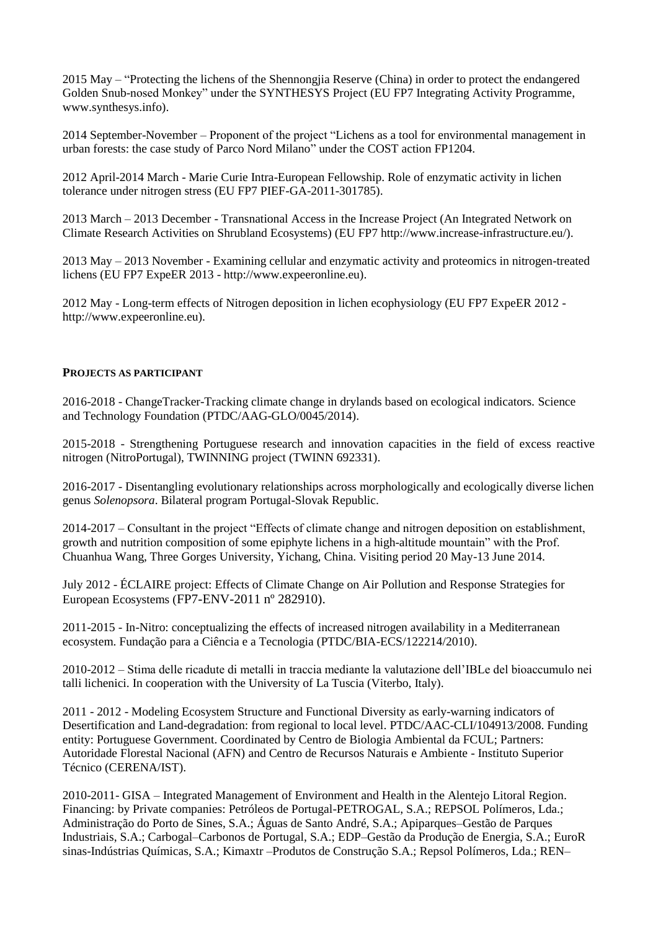2015 May – "Protecting the lichens of the Shennongjia Reserve (China) in order to protect the endangered Golden Snub-nosed Monkey" under the SYNTHESYS Project (EU FP7 Integrating Activity Programme, www.synthesys.info).

2014 September-November – Proponent of the project "Lichens as a tool for environmental management in urban forests: the case study of Parco Nord Milano" under the COST action FP1204.

2012 April-2014 March - Marie Curie Intra-European Fellowship. Role of enzymatic activity in lichen tolerance under nitrogen stress (EU FP7 PIEF-GA-2011-301785).

2013 March – 2013 December - Transnational Access in the Increase Project (An Integrated Network on Climate Research Activities on Shrubland Ecosystems) (EU FP7 http://www.increase-infrastructure.eu/).

2013 May – 2013 November - Examining cellular and enzymatic activity and proteomics in nitrogen-treated lichens (EU FP7 ExpeER 2013 - http://www.expeeronline.eu).

2012 May - Long-term effects of Nitrogen deposition in lichen ecophysiology (EU FP7 ExpeER 2012 http://www.expeeronline.eu).

## **PROJECTS AS PARTICIPANT**

2016-2018 - ChangeTracker-Tracking climate change in drylands based on ecological indicators. Science and Technology Foundation (PTDC/AAG-GLO/0045/2014).

2015-2018 - Strengthening Portuguese research and innovation capacities in the field of excess reactive nitrogen (NitroPortugal), TWINNING project (TWINN 692331).

2016-2017 - Disentangling evolutionary relationships across morphologically and ecologically diverse lichen genus *Solenopsora*. Bilateral program Portugal-Slovak Republic.

2014-2017 – Consultant in the project "Effects of climate change and nitrogen deposition on establishment, growth and nutrition composition of some epiphyte lichens in a high-altitude mountain" with the Prof. Chuanhua Wang, Three Gorges University, Yichang, China. Visiting period 20 May-13 June 2014.

July 2012 - ÉCLAIRE project: Effects of Climate Change on Air Pollution and Response Strategies for European Ecosystems (FP7-ENV-2011 nº 282910).

2011-2015 - In-Nitro: conceptualizing the effects of increased nitrogen availability in a Mediterranean ecosystem. Fundação para a Ciência e a Tecnologia (PTDC/BIA-ECS/122214/2010).

2010-2012 – Stima delle ricadute di metalli in traccia mediante la valutazione dell'IBLe del bioaccumulo nei talli lichenici. In cooperation with the University of La Tuscia (Viterbo, Italy).

2011 - 2012 - Modeling Ecosystem Structure and Functional Diversity as early-warning indicators of Desertification and Land-degradation: from regional to local level. PTDC/AAC-CLI/104913/2008. Funding entity: Portuguese Government. Coordinated by Centro de Biologia Ambiental da FCUL; Partners: Autoridade Florestal Nacional (AFN) and Centro de Recursos Naturais e Ambiente - Instituto Superior Técnico (CERENA/IST).

2010-2011- GISA – Integrated Management of Environment and Health in the Alentejo Litoral Region. Financing: by Private companies: Petróleos de Portugal-PETROGAL, S.A.; REPSOL Polímeros, Lda.; Administração do Porto de Sines, S.A.; Águas de Santo André, S.A.; Apiparques–Gestão de Parques Industriais, S.A.; Carbogal–Carbonos de Portugal, S.A.; EDP–Gestão da Produção de Energia, S.A.; EuroR sinas-Indústrias Químicas, S.A.; Kimaxtr –Produtos de Construção S.A.; Repsol Polímeros, Lda.; REN–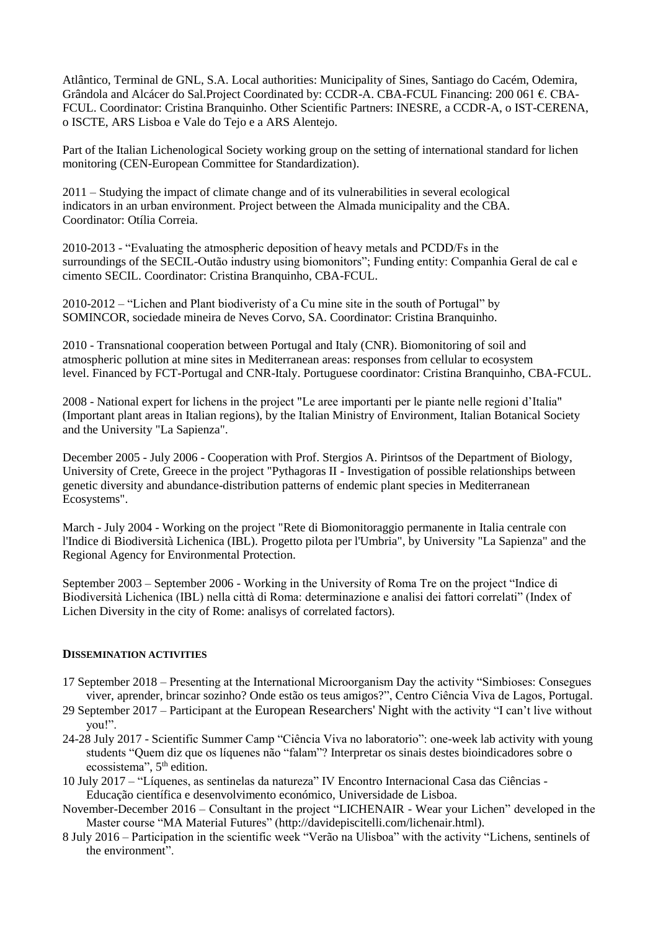Atlântico, Terminal de GNL, S.A. Local authorities: Municipality of Sines, Santiago do Cacém, Odemira, Grândola and Alcácer do Sal.Project Coordinated by: CCDR-A. CBA-FCUL Financing: 200 061 €. CBA-FCUL. Coordinator: Cristina Branquinho. Other Scientific Partners: INESRE, a CCDR-A, o IST-CERENA, o ISCTE, ARS Lisboa e Vale do Tejo e a ARS Alentejo.

Part of the Italian Lichenological Society working group on the setting of international standard for lichen monitoring (CEN-European Committee for Standardization).

2011 – Studying the impact of climate change and of its vulnerabilities in several ecological indicators in an urban environment. Project between the Almada municipality and the CBA. Coordinator: Otília Correia.

2010-2013 - "Evaluating the atmospheric deposition of heavy metals and PCDD/Fs in the surroundings of the SECIL-Outão industry using biomonitors"; Funding entity: Companhia Geral de cal e cimento SECIL. Coordinator: Cristina Branquinho, CBA-FCUL.

2010-2012 – "Lichen and Plant biodiveristy of a Cu mine site in the south of Portugal" by SOMINCOR, sociedade mineira de Neves Corvo, SA. Coordinator: Cristina Branquinho.

2010 - Transnational cooperation between Portugal and Italy (CNR). Biomonitoring of soil and atmospheric pollution at mine sites in Mediterranean areas: responses from cellular to ecosystem level. Financed by FCT-Portugal and CNR-Italy. Portuguese coordinator: Cristina Branquinho, CBA-FCUL.

2008 - National expert for lichens in the project "Le aree importanti per le piante nelle regioni d'Italia" (Important plant areas in Italian regions), by the Italian Ministry of Environment, Italian Botanical Society and the University "La Sapienza".

December 2005 - July 2006 - Cooperation with Prof. Stergios A. Pirintsos of the Department of Biology, University of Crete, Greece in the project "Pythagoras II - Investigation of possible relationships between genetic diversity and abundance-distribution patterns of endemic plant species in Mediterranean Ecosystems".

March - July 2004 - Working on the project "Rete di Biomonitoraggio permanente in Italia centrale con l'Indice di Biodiversità Lichenica (IBL). Progetto pilota per l'Umbria", by University "La Sapienza" and the Regional Agency for Environmental Protection.

September 2003 – September 2006 - Working in the University of Roma Tre on the project "Indice di Biodiversità Lichenica (IBL) nella città di Roma: determinazione e analisi dei fattori correlati" (Index of Lichen Diversity in the city of Rome: analisys of correlated factors).

#### **DISSEMINATION ACTIVITIES**

- 17 September 2018 Presenting at the International Microorganism Day the activity "Simbioses: Consegues viver, aprender, brincar sozinho? Onde estão os teus amigos?", Centro Ciência Viva de Lagos, Portugal.
- 29 September 2017 Participant at the [European Researchers' Night](http://ec.europa.eu/research/researchersnight/index_en.htm) with the activity "I can't live without you!".
- 24-28 July 2017 Scientific Summer Camp "Ciência Viva no laboratorio": one-week lab activity with young students "Quem diz que os líquenes não "falam"? Interpretar os sinais destes bioindicadores sobre o ecossistema", 5<sup>th</sup> edition.
- 10 July 2017 "Líquenes, as sentinelas da natureza" IV Encontro Internacional Casa das Ciências Educação científica e desenvolvimento económico, Universidade de Lisboa.
- November-December 2016 Consultant in the project "LICHENAIR Wear your Lichen" developed in the Master course "MA Material Futures" (http://davidepiscitelli.com/lichenair.html).
- 8 July 2016 Participation in the scientific week "Verão na Ulisboa" with the activity "Lichens, sentinels of the environment".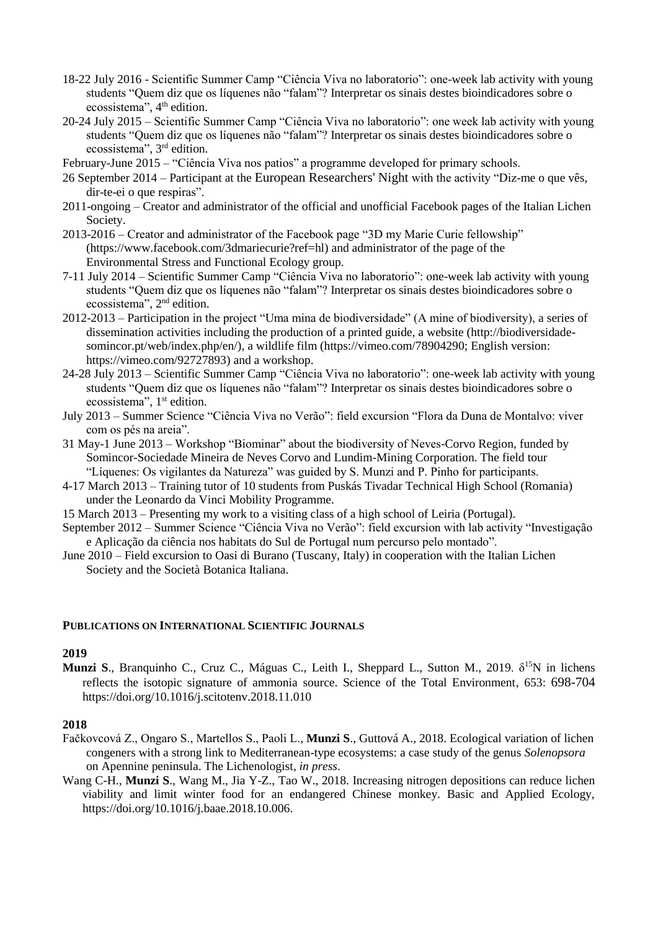- 18-22 July 2016 Scientific Summer Camp "Ciência Viva no laboratorio": one-week lab activity with young students "Quem diz que os líquenes não "falam"? Interpretar os sinais destes bioindicadores sobre o ecossistema", 4<sup>th</sup> edition.
- 20-24 July 2015 Scientific Summer Camp "Ciência Viva no laboratorio": one week lab activity with young students "Quem diz que os líquenes não "falam"? Interpretar os sinais destes bioindicadores sobre o ecossistema", 3<sup>rd</sup> edition.
- February-June 2015 "Ciência Viva nos patios" a programme developed for primary schools.
- 26 September 2014 Participant at the [European Researchers' Night](http://ec.europa.eu/research/researchersnight/index_en.htm) with the activity "Diz-me o que vês, dir-te-ei o que respiras".
- 2011-ongoing Creator and administrator of the official and unofficial Facebook pages of the Italian Lichen Society.
- 2013-2016 Creator and administrator of the Facebook page "3D my Marie Curie fellowship" (https://www.facebook.com/3dmariecurie?ref=hl) and administrator of the page of the Environmental Stress and Functional Ecology group.
- 7-11 July 2014 Scientific Summer Camp "Ciência Viva no laboratorio": one-week lab activity with young students "Quem diz que os líquenes não "falam"? Interpretar os sinais destes bioindicadores sobre o ecossistema", 2<sup>nd</sup> edition.
- 2012-2013 Participation in the project "Uma mina de biodiversidade" (A mine of biodiversity), a series of dissemination activities including the production of a printed guide, a website (http://biodiversidadesomincor.pt/web/index.php/en/), a wildlife film (https://vimeo.com/78904290; English version: [https://vimeo.com/92727893\)](https://webmail.fc.ul.pt/owa/redir.aspx?C=1bulxI8gmkqU6TpQuegx34eaboMSSdFIERsRG7o3kb7EFUr6mgrDa74___-z9ZXlaCa_n2aJ_F4.&URL=https%3a%2f%2fvimeo.com%2f92727893) and a workshop.
- 24-28 July 2013 Scientific Summer Camp "Ciência Viva no laboratorio": one-week lab activity with young students "Quem diz que os líquenes não "falam"? Interpretar os sinais destes bioindicadores sobre o ecossistema", 1<sup>st</sup> edition.
- July 2013 Summer Science "Ciência Viva no Verão": field excursion "Flora da Duna de Montalvo: viver com os pés na areia".
- 31 May-1 June 2013 Workshop "Biominar" about the biodiversity of Neves-Corvo Region, funded by Somincor-Sociedade Mineira de Neves Corvo and Lundim-Mining Corporation. The field tour "Líquenes: Os vigilantes da Natureza" was guided by S. Munzi and P. Pinho for participants.
- 4-17 March 2013 Training tutor of 10 students from Puskás Tivadar Technical High School (Romania) under the Leonardo da Vinci Mobility Programme.
- 15 March 2013 Presenting my work to a visiting class of a high school of Leiria (Portugal).
- September 2012 Summer Science "Ciência Viva no Verão": field excursion with lab activity "Investigação e Aplicação da ciência nos habitats do Sul de Portugal num percurso pelo montado".
- June 2010 Field excursion to Oasi di Burano (Tuscany, Italy) in cooperation with the Italian Lichen Society and the Società Botanica Italiana.

#### **PUBLICATIONS ON INTERNATIONAL SCIENTIFIC JOURNALS**

#### **2019**

**Munzi S.**, Branquinho C., Cruz C., Máguas C., Leith I., Sheppard L., Sutton M., 2019. δ<sup>15</sup>N in lichens reflects the isotopic signature of ammonia source. Science of the Total Environment, 653: 698-704 https://doi.org/10.1016/j.scitotenv.2018.11.010

# **2018**

- Fačkovcová Z., Ongaro S., Martellos S., Paoli L., **Munzi S**., Guttová A., 2018. Ecological variation of lichen congeners with a strong link to Mediterranean-type ecosystems: a case study of the genus *Solenopsora* on Apennine peninsula. The Lichenologist, *in press*.
- Wang C-H., **Munzi S**., Wang M., Jia Y-Z., Tao W., 2018. Increasing nitrogen depositions can reduce lichen viability and limit winter food for an endangered Chinese monkey. Basic and Applied Ecology, https://doi.org/10.1016/j.baae.2018.10.006.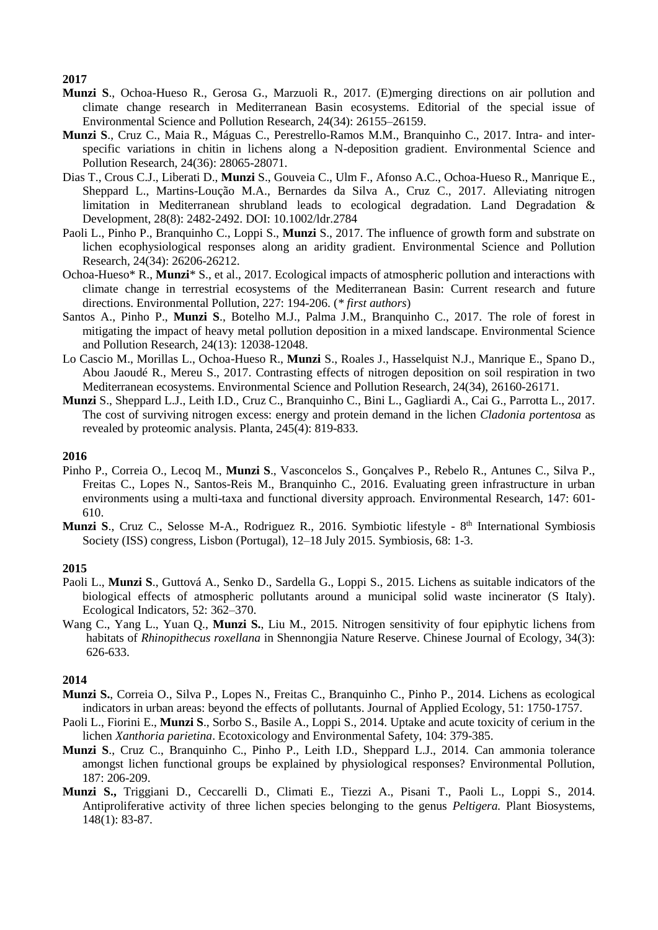# **2017**

- **Munzi S**., Ochoa-Hueso R., Gerosa G., Marzuoli R., 2017. (E)merging directions on air pollution and climate change research in Mediterranean Basin ecosystems. Editorial of the special issue of Environmental Science and Pollution Research, 24(34): 26155–26159.
- **Munzi S**., Cruz C., Maia R., Máguas C., Perestrello-Ramos M.M., Branquinho C., 2017. Intra- and interspecific variations in chitin in lichens along a N-deposition gradient. Environmental Science and Pollution Research, 24(36): 28065-28071.
- Dias T., Crous C.J., Liberati D., **Munzi** S., Gouveia C., Ulm F., Afonso A.C., Ochoa-Hueso R., Manrique E., Sheppard L., Martins-Loução M.A., Bernardes da Silva A., Cruz C., 2017. Alleviating nitrogen limitation in Mediterranean shrubland leads to ecological degradation. Land Degradation & Development, 28(8): 2482-2492. DOI: 10.1002/ldr.2784
- Paoli L., Pinho P., Branquinho C., Loppi S., **Munzi** S., 2017. The influence of growth form and substrate on lichen ecophysiological responses along an aridity gradient. Environmental Science and Pollution Research, 24(34): 26206-26212.
- Ochoa-Hueso\* R., **Munzi**\* S., et al., 2017. Ecological impacts of atmospheric pollution and interactions with climate change in terrestrial ecosystems of the Mediterranean Basin: Current research and future directions. Environmental Pollution, 227: 194-206. (*\* first authors*)
- Santos A., Pinho P., **Munzi S**., Botelho M.J., Palma J.M., Branquinho C., 2017. The role of forest in mitigating the impact of heavy metal pollution deposition in a mixed landscape. Environmental Science and Pollution Research, 24(13): 12038-12048.
- Lo Cascio M., Morillas L., Ochoa-Hueso R., **Munzi** S., Roales J., Hasselquist N.J., Manrique E., Spano D., Abou Jaoudé R., Mereu S., 2017. Contrasting effects of nitrogen deposition on soil respiration in two Mediterranean ecosystems. Environmental Science and Pollution Research, 24(34), 26160-26171.
- **Munzi** S., Sheppard L.J., Leith I.D., Cruz C., Branquinho C., Bini L., Gagliardi A., Cai G., Parrotta L., 2017. The cost of surviving nitrogen excess: energy and protein demand in the lichen *Cladonia portentosa* as revealed by proteomic analysis. Planta, 245(4): 819-833.

# **2016**

- Pinho P., Correia O., Lecoq M., **Munzi S**., Vasconcelos S., Gonçalves P., Rebelo R., Antunes C., Silva P., Freitas C., Lopes N., Santos-Reis M., Branquinho C., 2016. Evaluating green infrastructure in urban environments using a multi-taxa and functional diversity approach. Environmental Research, 147: 601- 610.
- Munzi S., Cruz C., Selosse M-A., Rodriguez R., 2016. Symbiotic lifestyle 8<sup>th</sup> International Symbiosis Society (ISS) congress, Lisbon (Portugal), 12–18 July 2015. Symbiosis, 68: 1-3.

# **2015**

- Paoli L., **Munzi S**., Guttová A., Senko D., Sardella G., Loppi S., 2015. Lichens as suitable indicators of the biological effects of atmospheric pollutants around a municipal solid waste incinerator (S Italy). Ecological Indicators, 52: 362–370.
- Wang C., Yang L., Yuan Q., **Munzi S.**, Liu M., 2015. Nitrogen sensitivity of four epiphytic lichens from habitats of *Rhinopithecus roxellana* in Shennongjia Nature Reserve. Chinese Journal of Ecology, 34(3): 626-633.

# **2014**

- **Munzi S.**, Correia O., Silva P., Lopes N., Freitas C., Branquinho C., Pinho P., 2014. Lichens as ecological indicators in urban areas: beyond the effects of pollutants. Journal of Applied Ecology, 51: 1750-1757.
- Paoli L., Fiorini E., **Munzi S**., Sorbo S., Basile A., Loppi S., 2014. Uptake and acute toxicity of cerium in the lichen *Xanthoria parietina*. Ecotoxicology and Environmental Safety, 104: 379-385.
- **Munzi S**., Cruz C., Branquinho C., Pinho P., Leith I.D., Sheppard L.J., 2014. Can ammonia tolerance amongst lichen functional groups be explained by physiological responses? Environmental Pollution, 187: 206-209.
- **Munzi S.,** Triggiani D., Ceccarelli D., Climati E., Tiezzi A., Pisani T., Paoli L., Loppi S., 2014. Antiproliferative activity of three lichen species belonging to the genus *Peltigera.* Plant Biosystems, 148(1): 83-87.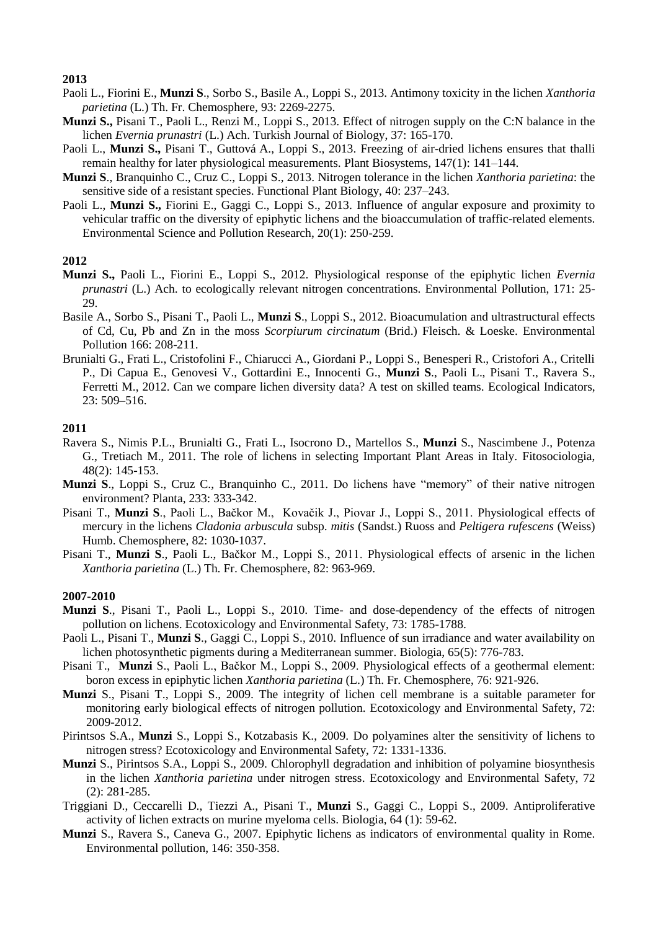## **2013**

- Paoli L., Fiorini E., **Munzi S**., Sorbo S., Basile A., Loppi S., 2013. Antimony toxicity in the lichen *Xanthoria parietina* (L.) Th. Fr. Chemosphere, 93: 2269-2275.
- **Munzi S.,** Pisani T., Paoli L., Renzi M., Loppi S., 2013. Effect of nitrogen supply on the C:N balance in the lichen *Evernia prunastri* (L.) Ach. Turkish Journal of Biology, 37: 165-170.
- Paoli L., **Munzi S.,** Pisani T., Guttová A., Loppi S., 2013. Freezing of air-dried lichens ensures that thalli remain healthy for later physiological measurements. Plant Biosystems, 147(1): 141–144.
- **Munzi S**., Branquinho C., Cruz C., Loppi S., 2013. Nitrogen tolerance in the lichen *Xanthoria parietina*: the sensitive side of a resistant species. Functional Plant Biology, 40: 237–243.
- Paoli L., **Munzi S.,** Fiorini E., Gaggi C., Loppi S., 2013. Influence of angular exposure and proximity to vehicular traffic on the diversity of epiphytic lichens and the bioaccumulation of traffic-related elements. Environmental Science and Pollution Research, 20(1): 250-259.

## **2012**

- **Munzi S.,** Paoli L., Fiorini E., Loppi S., 2012. Physiological response of the epiphytic lichen *Evernia prunastri* (L.) Ach. to ecologically relevant nitrogen concentrations. Environmental Pollution, 171: 25- 29.
- Basile A., Sorbo S., Pisani T., Paoli L., **Munzi S**., Loppi S., 2012. Bioacumulation and ultrastructural effects of Cd, Cu, Pb and Zn in the moss *Scorpiurum circinatum* (Brid.) Fleisch. & Loeske. Environmental Pollution 166: 208-211.
- Brunialti G., Frati L., Cristofolini F., Chiarucci A., Giordani P., Loppi S., Benesperi R., Cristofori A., Critelli P., Di Capua E., Genovesi V., Gottardini E., Innocenti G., **Munzi S**., Paoli L., Pisani T., Ravera S., Ferretti M., 2012. Can we compare lichen diversity data? A test on skilled teams. Ecological Indicators, 23: 509–516.

# **2011**

- Ravera S., Nimis P.L., Brunialti G., Frati L., Isocrono D., Martellos S., **Munzi** S., Nascimbene J., Potenza G., Tretiach M., 2011. The role of lichens in selecting Important Plant Areas in Italy. Fitosociologia, 48(2): 145-153.
- **Munzi S**., Loppi S., Cruz C., Branquinho C., 2011. Do lichens have "memory" of their native nitrogen environment? Planta, 233: 333-342.
- Pisani T., **Munzi S**., Paoli L., Bačkor M., Kovačik J., Piovar J., Loppi S., 2011. Physiological effects of mercury in the lichens *Cladonia arbuscula* subsp. *mitis* (Sandst.) Ruoss and *Peltigera rufescens* (Weiss) Humb. Chemosphere, 82: 1030-1037.
- Pisani T., **Munzi S**., Paoli L., Bačkor M., Loppi S., 2011. Physiological effects of arsenic in the lichen *Xanthoria parietina* (L.) Th. Fr. Chemosphere, 82: 963-969.

#### **2007-2010**

- **Munzi S**., Pisani T., Paoli L., Loppi S., 2010. Time- and dose-dependency of the effects of nitrogen pollution on lichens. Ecotoxicology and Environmental Safety, 73: 1785-1788.
- Paoli L., Pisani T., **Munzi S.**, Gaggi C., Loppi S., 2010. Influence of sun irradiance and water availability on lichen photosynthetic pigments during a Mediterranean summer. Biologia, 65(5): 776-783.
- Pisani T., **Munzi** S., Paoli L., Bačkor M., Loppi S., 2009. Physiological effects of a geothermal element: boron excess in epiphytic lichen *Xanthoria parietina* (L.) Th. Fr. Chemosphere, 76: 921-926.
- **Munzi** S., Pisani T., Loppi S., 2009. The integrity of lichen cell membrane is a suitable parameter for monitoring early biological effects of nitrogen pollution. Ecotoxicology and Environmental Safety, 72: 2009-2012.
- Pirintsos S.A., **Munzi** S., Loppi S., Kotzabasis K., 2009. Do polyamines alter the sensitivity of lichens to nitrogen stress? Ecotoxicology and Environmental Safety, 72: 1331-1336.
- **Munzi** S., Pirintsos S.A., Loppi S., 2009. [Chlorophyll degradation and inhibition of polyamine biosynthesis](http://www.sciencedirect.com/science?_ob=ArticleURL&_udi=B6WDM-4ST4CDD-1&_user=7597297&_coverDate=02%2F28%2F2009&_alid=839685477&_rdoc=1&_fmt=high&_orig=search&_cdi=6770&_sort=d&_docanchor=&view=c&_ct=2&_acct=C000036918&_version=1&_urlVersion=0&_userid=7597297&md5=d5711db8d80ca7d2ac2fc8d4ea6373be)  in the lichen *Xanthoria parietina* [under nitrogen stress.](http://www.sciencedirect.com/science?_ob=ArticleURL&_udi=B6WDM-4ST4CDD-1&_user=7597297&_coverDate=02%2F28%2F2009&_alid=839685477&_rdoc=1&_fmt=high&_orig=search&_cdi=6770&_sort=d&_docanchor=&view=c&_ct=2&_acct=C000036918&_version=1&_urlVersion=0&_userid=7597297&md5=d5711db8d80ca7d2ac2fc8d4ea6373be) Ecotoxicology and Environmental Safety, 72 (2): 281-285.
- Triggiani D., Ceccarelli D., Tiezzi A., Pisani T., **Munzi** S., Gaggi C., Loppi S., 2009. Antiproliferative activity of lichen extracts on murine myeloma cells. Biologia, 64 (1): 59-62.
- **Munzi** S., Ravera S., Caneva G., 2007. Epiphytic lichens as indicators of environmental quality in Rome. Environmental pollution, 146: 350-358.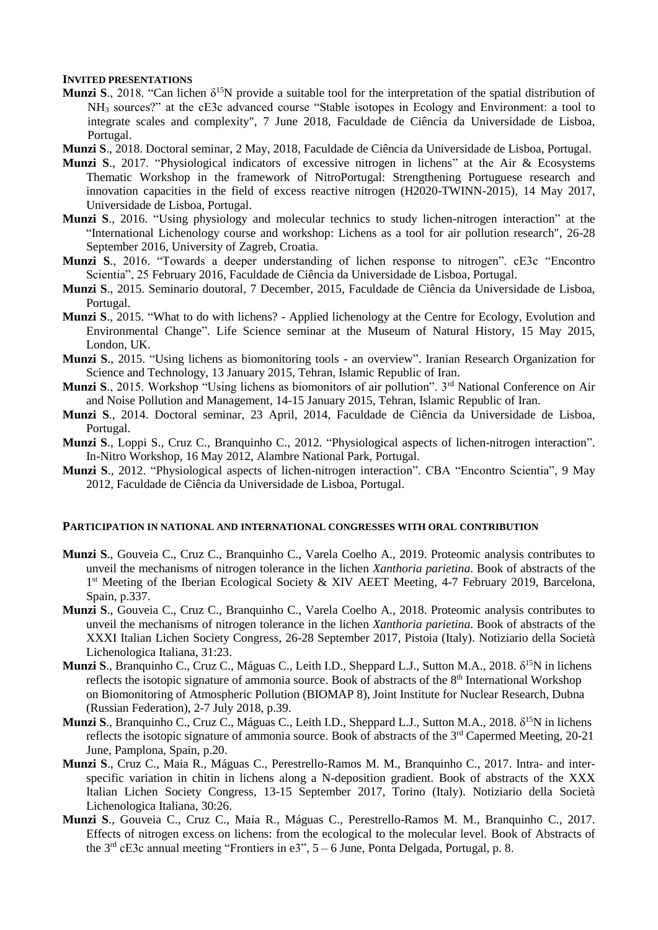#### **INVITED PRESENTATIONS**

- **Munzi S**., 2018. "Can lichen  $\delta^{15}N$  provide a suitable tool for the interpretation of the spatial distribution of NH<sup>3</sup> sources?" at the cE3c advanced course "Stable isotopes in Ecology and Environment: a tool to integrate scales and complexity", 7 June 2018, Faculdade de Ciência da Universidade de Lisboa, Portugal.
- **Munzi S**., 2018. Doctoral seminar, 2 May, 2018, Faculdade de Ciência da Universidade de Lisboa, Portugal.
- **Munzi S**., 2017. "Physiological indicators of excessive nitrogen in lichens" at the Air & Ecosystems Thematic Workshop in the framework of NitroPortugal: Strengthening Portuguese research and innovation capacities in the field of excess reactive nitrogen (H2020-TWINN-2015), 14 May 2017, Universidade de Lisboa, Portugal.
- **Munzi S**., 2016. "Using physiology and molecular technics to study lichen-nitrogen interaction" at the "International Lichenology course and workshop: Lichens as a tool for air pollution research", 26-28 September 2016, University of Zagreb, Croatia.
- **Munzi S**., 2016. "Towards a deeper understanding of lichen response to nitrogen". cE3c "Encontro Scientia", 25 February 2016, Faculdade de Ciência da Universidade de Lisboa, Portugal.
- **Munzi S**., 2015. Seminario doutoral, 7 December, 2015, Faculdade de Ciência da Universidade de Lisboa, Portugal.
- **Munzi S**., 2015. "What to do with lichens? Applied lichenology at the Centre for Ecology, Evolution and Environmental Change". Life Science seminar at the Museum of Natural History, 15 May 2015, London, UK.
- **Munzi S**., 2015. "Using lichens as biomonitoring tools an overview". Iranian Research Organization for Science and Technology, 13 January 2015, Tehran, Islamic Republic of Iran.
- **Munzi S**., 2015. Workshop "Using lichens as biomonitors of air pollution". 3<sup>rd</sup> National Conference on Air and Noise Pollution and Management, 14-15 January 2015, Tehran, Islamic Republic of Iran.
- **Munzi S**., 2014. Doctoral seminar, 23 April, 2014, Faculdade de Ciência da Universidade de Lisboa, Portugal.
- **Munzi S**., Loppi S., Cruz C., Branquinho C., 2012. "Physiological aspects of lichen-nitrogen interaction". In-Nitro Workshop, 16 May 2012, Alambre National Park, Portugal.
- **Munzi S**., 2012. "Physiological aspects of lichen-nitrogen interaction". CBA "Encontro Scientia", 9 May 2012, Faculdade de Ciência da Universidade de Lisboa, Portugal.

#### **PARTICIPATION IN NATIONAL AND INTERNATIONAL CONGRESSES WITH ORAL CONTRIBUTION**

- **Munzi S**., Gouveia C., Cruz C., Branquinho C., Varela Coelho A., 2019. Proteomic analysis contributes to unveil the mechanisms of nitrogen tolerance in the lichen *Xanthoria parietina*. Book of abstracts of the 1<sup>st</sup> Meeting of the Iberian Ecological Society & XIV AEET Meeting, 4-7 February 2019, Barcelona, Spain, p.337.
- **Munzi S**., Gouveia C., Cruz C., Branquinho C., Varela Coelho A., 2018. Proteomic analysis contributes to unveil the mechanisms of nitrogen tolerance in the lichen *Xanthoria parietina*. Book of abstracts of the XXXI Italian Lichen Society Congress, 26-28 September 2017, Pistoia (Italy). Notiziario della Società Lichenologica Italiana, 31:23.
- **Munzi S**., Branquinho C., Cruz C., Máguas C., Leith I.D., Sheppard L.J., Sutton M.A., 2018. δ<sup>15</sup>N in lichens reflects the isotopic signature of ammonia source. Book of abstracts of the 8<sup>th</sup> International Workshop on Biomonitoring of Atmospheric Pollution (BIOMAP 8), Joint Institute for Nuclear Research, Dubna (Russian Federation), 2-7 July 2018, p.39.
- **Munzi S.**, Branquinho C., Cruz C., Máguas C., Leith I.D., Sheppard L.J., Sutton M.A., 2018. δ<sup>15</sup>N in lichens reflects the isotopic signature of ammonia source. Book of abstracts of the 3<sup>rd</sup> Capermed Meeting, 20-21 June, Pamplona, Spain, p.20.
- **Munzi S**., Cruz C., Maia R., Máguas C., Perestrello-Ramos M. M., Branquinho C., 2017. Intra- and interspecific variation in chitin in lichens along a N-deposition gradient. Book of abstracts of the XXX Italian Lichen Society Congress, 13-15 September 2017, Torino (Italy). Notiziario della Società Lichenologica Italiana, 30:26.
- **Munzi S**., Gouveia C., Cruz C., Maia R., Máguas C., Perestrello-Ramos M. M., Branquinho C., 2017. Effects of nitrogen excess on lichens: from the ecological to the molecular level. Book of Abstracts of the 3 rd cE3c annual meeting "Frontiers in e3", 5 – 6 June, Ponta Delgada, Portugal, p. 8.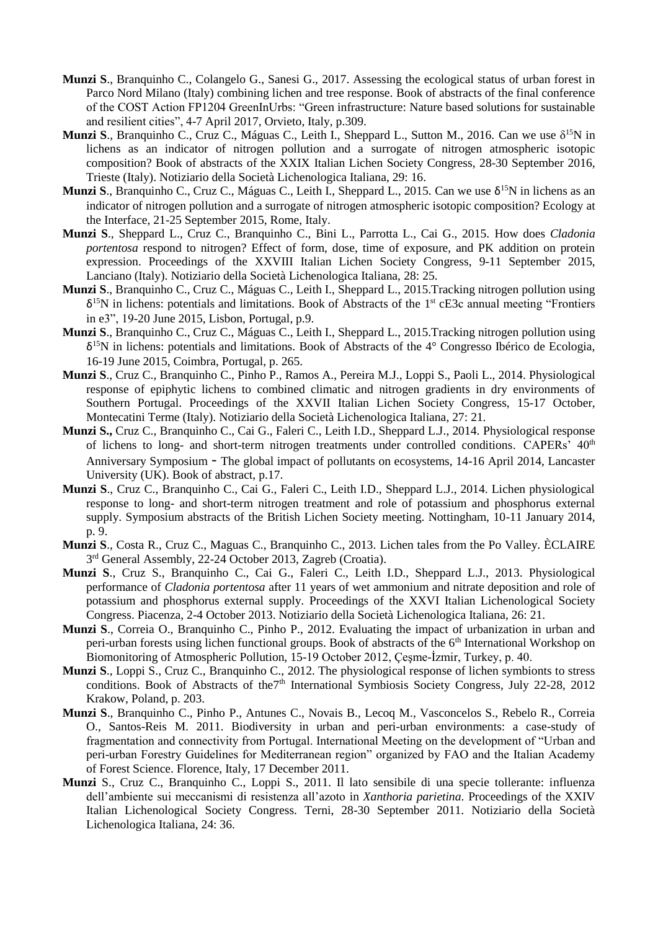- **Munzi S**., Branquinho C., Colangelo G., Sanesi G., 2017. Assessing the ecological status of urban forest in Parco Nord Milano (Italy) combining lichen and tree response. Book of abstracts of the final conference of the COST Action FP1204 GreenInUrbs: "Green infrastructure: Nature based solutions for sustainable and resilient cities", 4-7 April 2017, Orvieto, Italy, p.309.
- **Munzi S.**, Branquinho C., Cruz C., Máguas C., Leith I., Sheppard L., Sutton M., 2016. Can we use δ<sup>15</sup>N in lichens as an indicator of nitrogen pollution and a surrogate of nitrogen atmospheric isotopic composition? Book of abstracts of the XXIX Italian Lichen Society Congress, 28-30 September 2016, Trieste (Italy). Notiziario della Società Lichenologica Italiana, 29: 16.
- **Munzi S**., Branquinho C., Cruz C., Máguas C., Leith I., Sheppard L., 2015. Can we use δ<sup>15</sup>N in lichens as an indicator of nitrogen pollution and a surrogate of nitrogen atmospheric isotopic composition? Ecology at the Interface, 21-25 September 2015, Rome, Italy.
- **Munzi S**., Sheppard L., Cruz C., Branquinho C., Bini L., Parrotta L., Cai G., 2015. How does *Cladonia portentosa* respond to nitrogen? Effect of form, dose, time of exposure, and PK addition on protein expression. Proceedings of the XXVIII Italian Lichen Society Congress, 9-11 September 2015, Lanciano (Italy). Notiziario della Società Lichenologica Italiana, 28: 25.
- **Munzi S**., Branquinho C., Cruz C., Máguas C., Leith I., Sheppard L., 2015.Tracking nitrogen pollution using δ <sup>15</sup>N in lichens: potentials and limitations. Book of Abstracts of the 1 st cE3c annual meeting "Frontiers in e3", 19-20 June 2015, Lisbon, Portugal, p.9.
- **Munzi S**., Branquinho C., Cruz C., Máguas C., Leith I., Sheppard L., 2015.Tracking nitrogen pollution using δ <sup>15</sup>N in lichens: potentials and limitations. Book of Abstracts of the 4° Congresso Ibérico de Ecologia, 16-19 June 2015, Coimbra, Portugal, p. 265.
- **Munzi S**., Cruz C., Branquinho C., Pinho P., Ramos A., Pereira M.J., Loppi S., Paoli L., 2014. Physiological response of epiphytic lichens to combined climatic and nitrogen gradients in dry environments of Southern Portugal. Proceedings of the XXVII Italian Lichen Society Congress, 15-17 October, Montecatini Terme (Italy). Notiziario della Società Lichenologica Italiana, 27: 21.
- **Munzi S.,** Cruz C., Branquinho C., Cai G., Faleri C., Leith I.D., Sheppard L.J., 2014. Physiological response of lichens to long- and short-term nitrogen treatments under controlled conditions. CAPERs' 40<sup>th</sup> Anniversary Symposium - The global impact of pollutants on ecosystems, 14-16 April 2014, Lancaster University (UK). Book of abstract, p.17.
- **Munzi S**., Cruz C., Branquinho C., Cai G., Faleri C., Leith I.D., Sheppard L.J., 2014. Lichen physiological response to long- and short-term nitrogen treatment and role of potassium and phosphorus external supply. Symposium abstracts of the British Lichen Society meeting. Nottingham, 10-11 January 2014, p. 9.
- **Munzi S**., Costa R., Cruz C., Maguas C., Branquinho C., 2013. Lichen tales from the Po Valley. ÈCLAIRE 3<sup>rd</sup> General Assembly, 22-24 October 2013, Zagreb (Croatia).
- **Munzi S**., Cruz S., Branquinho C., Cai G., Faleri C., Leith I.D., Sheppard L.J., 2013. Physiological performance of *Cladonia portentosa* after 11 years of wet ammonium and nitrate deposition and role of potassium and phosphorus external supply. Proceedings of the XXVI Italian Lichenological Society Congress. Piacenza, 2-4 October 2013. Notiziario della Società Lichenologica Italiana, 26: 21.
- **Munzi S**., Correia O., Branquinho C., Pinho P., 2012. Evaluating the impact of urbanization in urban and peri-urban forests using lichen functional groups. Book of abstracts of the 6<sup>th</sup> International Workshop on Biomonitoring of Atmospheric Pollution, 15-19 October 2012, Çeşme-İzmir, Turkey, p. 40.
- **Munzi S**., Loppi S., Cruz C., Branquinho C., 2012. The physiological response of lichen symbionts to stress conditions. Book of Abstracts of the<sup>7th</sup> International Symbiosis Society Congress, July 22-28, 2012 Krakow, Poland, p. 203.
- **Munzi S**., Branquinho C., Pinho P., Antunes C., Novais B., Lecoq M., Vasconcelos S., Rebelo R., Correia O., Santos-Reis M. 2011. Biodiversity in urban and peri-urban environments: a case-study of fragmentation and connectivity from Portugal. International Meeting on the development of "Urban and peri-urban Forestry Guidelines for Mediterranean region" organized by FAO and the Italian Academy of Forest Science. Florence, Italy, 17 December 2011.
- **Munzi** S., Cruz C., Branquinho C., Loppi S., 2011. Il lato sensibile di una specie tollerante: influenza dell'ambiente sui meccanismi di resistenza all'azoto in *Xanthoria parietina*. Proceedings of the XXIV Italian Lichenological Society Congress. Terni, 28-30 September 2011. Notiziario della Società Lichenologica Italiana, 24: 36.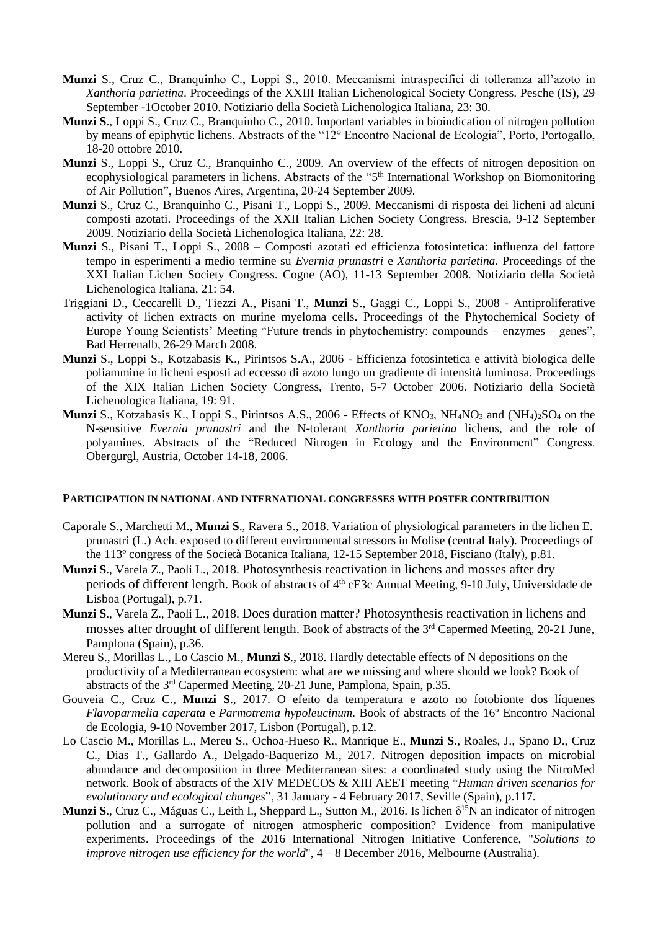- **Munzi** S., Cruz C., Branquinho C., Loppi S., 2010. Meccanismi intraspecifici di tolleranza all'azoto in *Xanthoria parietina*. Proceedings of the XXIII Italian Lichenological Society Congress. Pesche (IS), 29 September -1October 2010. Notiziario della Società Lichenologica Italiana, 23: 30.
- **Munzi S**., Loppi S., Cruz C., Branquinho C., 2010. Important variables in bioindication of nitrogen pollution by means of epiphytic lichens. Abstracts of the "12° Encontro Nacional de Ecologia", Porto, Portogallo, 18-20 ottobre 2010.
- **Munzi** S., Loppi S., Cruz C., Branquinho C., 2009. An overview of the effects of nitrogen deposition on ecophysiological parameters in lichens. Abstracts of the "5<sup>th</sup> International Workshop on Biomonitoring of Air Pollution", Buenos Aires, Argentina, 20-24 September 2009.
- **Munzi** S., Cruz C., Branquinho C., Pisani T., Loppi S., 2009. Meccanismi di risposta dei licheni ad alcuni composti azotati. Proceedings of the XXII Italian Lichen Society Congress. Brescia, 9-12 September 2009. Notiziario della Società Lichenologica Italiana, 22: 28.
- **Munzi** S., Pisani T., Loppi S., 2008 Composti azotati ed efficienza fotosintetica: influenza del fattore tempo in esperimenti a medio termine su *Evernia prunastri* e *Xanthoria parietina*. Proceedings of the XXI Italian Lichen Society Congress. Cogne (AO), 11-13 September 2008. Notiziario della Società Lichenologica Italiana, 21: 54.
- Triggiani D., Ceccarelli D., Tiezzi A., Pisani T., **Munzi** S., Gaggi C., Loppi S., 2008 Antiproliferative activity of lichen extracts on murine myeloma cells. Proceedings of the Phytochemical Society of Europe Young Scientists' Meeting "Future trends in phytochemistry: compounds – enzymes – genes", Bad Herrenalb, 26-29 March 2008.
- **Munzi** S., Loppi S., Kotzabasis K., Pirintsos S.A., 2006 Efficienza fotosintetica e attività biologica delle poliammine in licheni esposti ad eccesso di azoto lungo un gradiente di intensità luminosa. Proceedings of the XIX Italian Lichen Society Congress, Trento, 5-7 October 2006. Notiziario della Società Lichenologica Italiana, 19: 91.
- **Munzi** S., Kotzabasis K., Loppi S., Pirintsos A.S., 2006 Effects of  $KNO_3$ ,  $NH_4NO_3$  and  $(NH_4)_2SO_4$  on the N-sensitive *Evernia prunastri* and the N-tolerant *Xanthoria parietina* lichens, and the role of polyamines. Abstracts of the "Reduced Nitrogen in Ecology and the Environment" Congress. Obergurgl, Austria, October 14-18, 2006.

#### **PARTICIPATION IN NATIONAL AND INTERNATIONAL CONGRESSES WITH POSTER CONTRIBUTION**

- Caporale S., Marchetti M., **Munzi S**., Ravera S., 2018. Variation of physiological parameters in the lichen E. prunastri (L.) Ach. exposed to different environmental stressors in Molise (central Italy). Proceedings of the 113º congress of the Società Botanica Italiana, 12-15 September 2018, Fisciano (Italy), p.81.
- **Munzi S**., Varela Z., Paoli L., 2018. Photosynthesis reactivation in lichens and mosses after dry periods of different length. Book of abstracts of 4<sup>th</sup> cE3c Annual Meeting, 9-10 July, Universidade de Lisboa (Portugal), p.71.
- **Munzi S**., Varela Z., Paoli L., 2018. Does duration matter? Photosynthesis reactivation in lichens and mosses after drought of different length. Book of abstracts of the 3<sup>rd</sup> Capermed Meeting, 20-21 June, Pamplona (Spain), p.36.
- Mereu S., Morillas L., Lo Cascio M., **Munzi S**., 2018. Hardly detectable effects of N depositions on the productivity of a Mediterranean ecosystem: what are we missing and where should we look? Book of abstracts of the 3<sup>rd</sup> Capermed Meeting, 20-21 June, Pamplona, Spain, p.35.
- Gouveia C., Cruz C., **Munzi S**., 2017. O efeito da temperatura e azoto no fotobionte dos líquenes *Flavoparmelia caperata* e *Parmotrema hypoleucinum*. Book of abstracts of the 16º Encontro Nacional de Ecologia, 9-10 November 2017, Lisbon (Portugal), p.12.
- Lo Cascio M., Morillas L., Mereu S., Ochoa-Hueso R., Manrique E., **Munzi S**., Roales, J., Spano D., Cruz C., Dias T., Gallardo A., Delgado-Baquerizo M., 2017. Nitrogen deposition impacts on microbial abundance and decomposition in three Mediterranean sites: a coordinated study using the NitroMed network. Book of abstracts of the XIV MEDECOS & XIII AEET meeting "*Human driven scenarios for evolutionary and ecological changes*", 31 January - 4 February 2017, Seville (Spain), p.117.
- **Munzi S**., Cruz C., Máguas C., Leith I., Sheppard L., Sutton M., 2016. Is lichen δ<sup>15</sup>N an indicator of nitrogen pollution and a surrogate of nitrogen atmospheric composition? Evidence from manipulative experiments. Proceedings of the 2016 International Nitrogen Initiative Conference, "*Solutions to improve nitrogen use efficiency for the world*", 4 – 8 December 2016, Melbourne (Australia).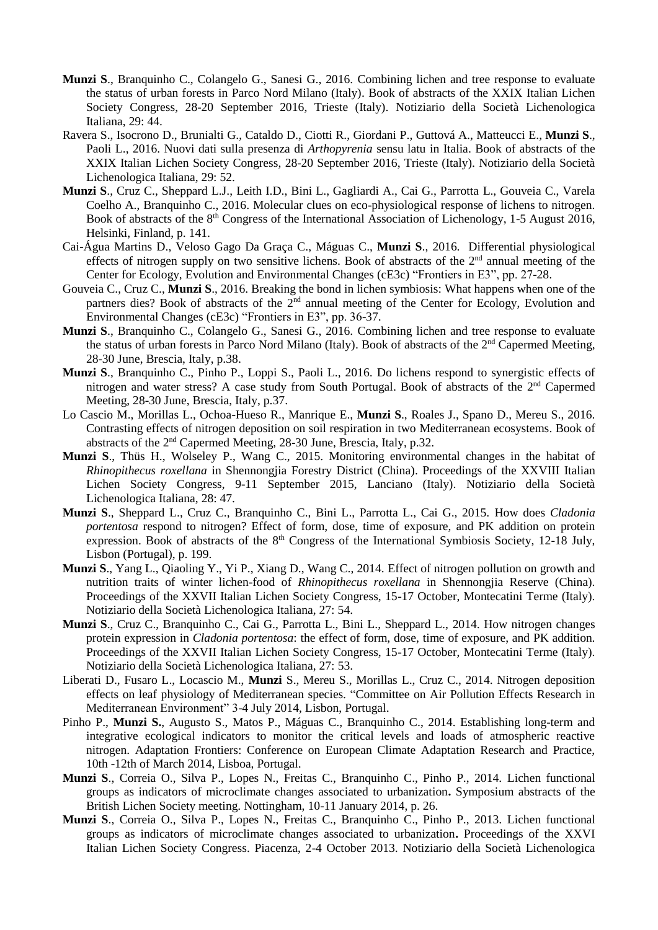- **Munzi S**., Branquinho C., Colangelo G., Sanesi G., 2016. Combining lichen and tree response to evaluate the status of urban forests in Parco Nord Milano (Italy). Book of abstracts of the XXIX Italian Lichen Society Congress, 28-20 September 2016, Trieste (Italy). Notiziario della Società Lichenologica Italiana, 29: 44.
- Ravera S., Isocrono D., Brunialti G., Cataldo D., Ciotti R., Giordani P., Guttová A., Matteucci E., **Munzi S**., Paoli L., 2016. Nuovi dati sulla presenza di *Arthopyrenia* sensu latu in Italia. Book of abstracts of the XXIX Italian Lichen Society Congress, 28-20 September 2016, Trieste (Italy). Notiziario della Società Lichenologica Italiana, 29: 52.
- **Munzi S**., Cruz C., Sheppard L.J., Leith I.D., Bini L., Gagliardi A., Cai G., Parrotta L., Gouveia C., Varela Coelho A., Branquinho C., 2016. Molecular clues on eco-physiological response of lichens to nitrogen. Book of abstracts of the 8<sup>th</sup> Congress of the International Association of Lichenology, 1-5 August 2016, Helsinki, Finland, p. 141.
- Cai-Água Martins D., Veloso Gago Da Graça C., Máguas C., **Munzi S**., 2016. Differential physiological effects of nitrogen supply on two sensitive lichens. Book of abstracts of the  $2<sup>nd</sup>$  annual meeting of the Center for Ecology, Evolution and Environmental Changes (cE3c) "Frontiers in E3", pp. 27-28.
- Gouveia C., Cruz C., **Munzi S**., 2016. Breaking the bond in lichen symbiosis: What happens when one of the partners dies? Book of abstracts of the 2<sup>nd</sup> annual meeting of the Center for Ecology, Evolution and Environmental Changes (cE3c) "Frontiers in E3", pp. 36-37.
- **Munzi S**., Branquinho C., Colangelo G., Sanesi G., 2016. Combining lichen and tree response to evaluate the status of urban forests in Parco Nord Milano (Italy). Book of abstracts of the 2<sup>nd</sup> Capermed Meeting, 28-30 June, Brescia, Italy, p.38.
- **Munzi S**., Branquinho C., Pinho P., Loppi S., Paoli L., 2016. Do lichens respond to synergistic effects of nitrogen and water stress? A case study from South Portugal. Book of abstracts of the 2<sup>nd</sup> Capermed Meeting, 28-30 June, Brescia, Italy, p.37.
- Lo Cascio M., Morillas L., Ochoa-Hueso R., Manrique E., **Munzi S**., Roales J., Spano D., Mereu S., 2016. Contrasting effects of nitrogen deposition on soil respiration in two Mediterranean ecosystems. Book of abstracts of the 2<sup>nd</sup> Capermed Meeting, 28-30 June, Brescia, Italy, p.32.
- **Munzi S**., Thüs H., Wolseley P., Wang C., 2015. Monitoring environmental changes in the habitat of *Rhinopithecus roxellana* in Shennongjia Forestry District (China). Proceedings of the XXVIII Italian Lichen Society Congress, 9-11 September 2015, Lanciano (Italy). Notiziario della Società Lichenologica Italiana, 28: 47.
- **Munzi S**., Sheppard L., Cruz C., Branquinho C., Bini L., Parrotta L., Cai G., 2015. How does *Cladonia portentosa* respond to nitrogen? Effect of form, dose, time of exposure, and PK addition on protein expression. Book of abstracts of the 8<sup>th</sup> Congress of the International Symbiosis Society, 12-18 July, Lisbon (Portugal), p. 199.
- **Munzi S**., Yang L., Qiaoling Y., Yi P., Xiang D., Wang C., 2014. Effect of nitrogen pollution on growth and nutrition traits of winter lichen-food of *Rhinopithecus roxellana* in Shennongjia Reserve (China). Proceedings of the XXVII Italian Lichen Society Congress, 15-17 October, Montecatini Terme (Italy). Notiziario della Società Lichenologica Italiana, 27: 54.
- **Munzi S**., Cruz C., Branquinho C., Cai G., Parrotta L., Bini L., Sheppard L., 2014. How nitrogen changes protein expression in *Cladonia portentosa*: the effect of form, dose, time of exposure, and PK addition. Proceedings of the XXVII Italian Lichen Society Congress, 15-17 October, Montecatini Terme (Italy). Notiziario della Società Lichenologica Italiana, 27: 53.
- Liberati D., Fusaro L., Locascio M., **Munzi** S., Mereu S., Morillas L., Cruz C., 2014. Nitrogen deposition effects on leaf physiology of Mediterranean species. "Committee on Air Pollution Effects Research in Mediterranean Environment" 3-4 July 2014, Lisbon, Portugal.
- Pinho P., **Munzi S.**, Augusto S., Matos P., Máguas C., Branquinho C., 2014. Establishing long-term and integrative ecological indicators to monitor the critical levels and loads of atmospheric reactive nitrogen. Adaptation Frontiers: Conference on European Climate Adaptation Research and Practice, 10th -12th of March 2014, Lisboa, Portugal.
- **Munzi S**., Correia O., Silva P., Lopes N., Freitas C., Branquinho C., Pinho P., 2014. Lichen functional groups as indicators of microclimate changes associated to urbanization**.** Symposium abstracts of the British Lichen Society meeting. Nottingham, 10-11 January 2014, p. 26.
- **Munzi S**., Correia O., Silva P., Lopes N., Freitas C., Branquinho C., Pinho P., 2013. Lichen functional groups as indicators of microclimate changes associated to urbanization**.** Proceedings of the XXVI Italian Lichen Society Congress. Piacenza, 2-4 October 2013. Notiziario della Società Lichenologica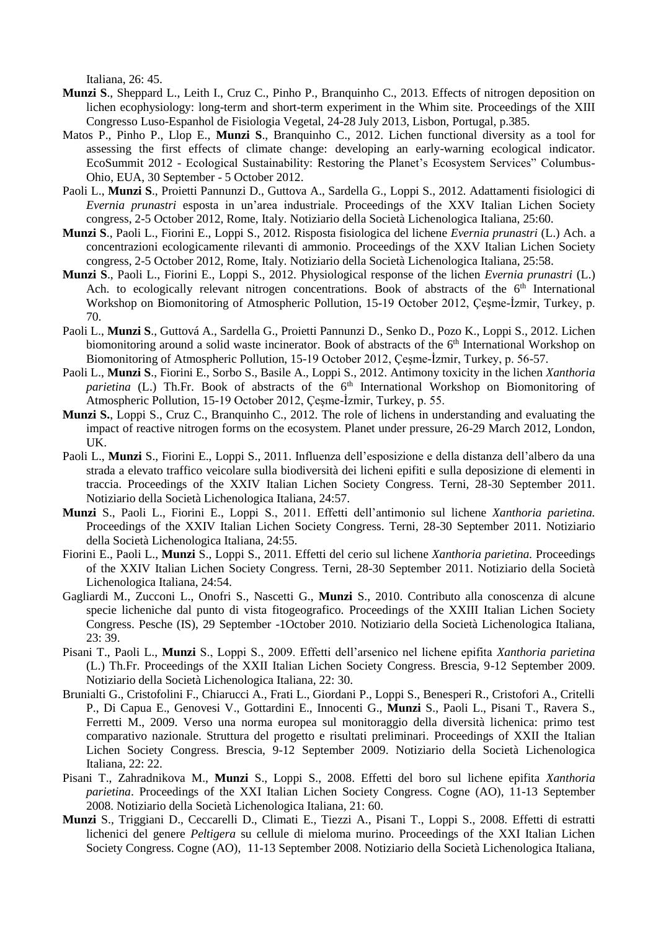Italiana, 26: 45.

- **Munzi S**., Sheppard L., Leith I., Cruz C., Pinho P., Branquinho C., 2013. Effects of nitrogen deposition on lichen ecophysiology: long-term and short-term experiment in the Whim site. Proceedings of the XIII Congresso Luso-Espanhol de Fisiologia Vegetal, 24-28 July 2013, Lisbon, Portugal, p.385.
- Matos P., Pinho P., Llop E., **Munzi S**., Branquinho C., 2012. Lichen functional diversity as a tool for assessing the first effects of climate change: developing an early-warning ecological indicator. EcoSummit 2012 - Ecological Sustainability: Restoring the Planet's Ecosystem Services" Columbus-Ohio, EUA, 30 September - 5 October 2012.
- Paoli L., **Munzi S**., Proietti Pannunzi D., Guttova A., Sardella G., Loppi S., 2012. Adattamenti fisiologici di *Evernia prunastri* esposta in un'area industriale. Proceedings of the XXV Italian Lichen Society congress, 2-5 October 2012, Rome, Italy. Notiziario della Società Lichenologica Italiana, 25:60.
- **Munzi S**., Paoli L., Fiorini E., Loppi S., 2012. Risposta fisiologica del lichene *Evernia prunastri* (L.) Ach. a concentrazioni ecologicamente rilevanti di ammonio. Proceedings of the XXV Italian Lichen Society congress, 2-5 October 2012, Rome, Italy. Notiziario della Società Lichenologica Italiana, 25:58.
- **Munzi S**., Paoli L., Fiorini E., Loppi S., 2012. Physiological response of the lichen *Evernia prunastri* (L.) Ach. to ecologically relevant nitrogen concentrations. Book of abstracts of the  $6<sup>th</sup>$  International Workshop on Biomonitoring of Atmospheric Pollution, 15-19 October 2012, Çeşme-İzmir, Turkey, p. 70.
- Paoli L., **Munzi S**., Guttová A., Sardella G., Proietti Pannunzi D., Senko D., Pozo K., Loppi S., 2012. Lichen biomonitoring around a solid waste incinerator. Book of abstracts of the 6<sup>th</sup> International Workshop on Biomonitoring of Atmospheric Pollution, 15-19 October 2012, Çeşme-İzmir, Turkey, p. 56-57.
- Paoli L., **Munzi S**., Fiorini E., Sorbo S., Basile A., Loppi S., 2012. Antimony toxicity in the lichen *Xanthoria parietina* (L.) Th.Fr. Book of abstracts of the 6<sup>th</sup> International Workshop on Biomonitoring of Atmospheric Pollution, 15-19 October 2012, Çeşme-İzmir, Turkey, p. 55.
- **Munzi S.**, Loppi S., Cruz C., Branquinho C., 2012. The role of lichens in understanding and evaluating the impact of reactive nitrogen forms on the ecosystem. Planet under pressure, 26-29 March 2012, London, UK.
- Paoli L., **Munzi** S., Fiorini E., Loppi S., 2011. Influenza dell'esposizione e della distanza dell'albero da una strada a elevato traffico veicolare sulla biodiversità dei licheni epifiti e sulla deposizione di elementi in traccia. Proceedings of the XXIV Italian Lichen Society Congress. Terni, 28-30 September 2011. Notiziario della Società Lichenologica Italiana, 24:57.
- **Munzi** S., Paoli L., Fiorini E., Loppi S., 2011. Effetti dell'antimonio sul lichene *Xanthoria parietina.* Proceedings of the XXIV Italian Lichen Society Congress. Terni, 28-30 September 2011. Notiziario della Società Lichenologica Italiana, 24:55.
- Fiorini E., Paoli L., **Munzi** S., Loppi S., 2011. Effetti del cerio sul lichene *Xanthoria parietina.* Proceedings of the XXIV Italian Lichen Society Congress. Terni, 28-30 September 2011. Notiziario della Società Lichenologica Italiana, 24:54.
- Gagliardi M., Zucconi L., Onofri S., Nascetti G., **Munzi** S., 2010. Contributo alla conoscenza di alcune specie licheniche dal punto di vista fitogeografico. Proceedings of the XXIII Italian Lichen Society Congress. Pesche (IS), 29 September -1October 2010. Notiziario della Società Lichenologica Italiana, 23: 39.
- Pisani T., Paoli L., **Munzi** S., Loppi S., 2009. Effetti dell'arsenico nel lichene epifita *Xanthoria parietina* (L.) Th.Fr. Proceedings of the XXII Italian Lichen Society Congress. Brescia, 9-12 September 2009. Notiziario della Società Lichenologica Italiana, 22: 30.
- Brunialti G., Cristofolini F., Chiarucci A., Frati L., Giordani P., Loppi S., Benesperi R., Cristofori A., Critelli P., Di Capua E., Genovesi V., Gottardini E., Innocenti G., **Munzi** S., Paoli L., Pisani T., Ravera S., Ferretti M., 2009. Verso una norma europea sul monitoraggio della diversità lichenica: primo test comparativo nazionale. Struttura del progetto e risultati preliminari. Proceedings of XXII the Italian Lichen Society Congress. Brescia, 9-12 September 2009. Notiziario della Società Lichenologica Italiana, 22: 22.
- Pisani T., Zahradnikova M., **Munzi** S., Loppi S., 2008. Effetti del boro sul lichene epifita *Xanthoria parietina*. Proceedings of the XXI Italian Lichen Society Congress. Cogne (AO), 11-13 September 2008. Notiziario della Società Lichenologica Italiana, 21: 60.
- **Munzi** S., Triggiani D., Ceccarelli D., Climati E., Tiezzi A., Pisani T., Loppi S., 2008. Effetti di estratti lichenici del genere *Peltigera* su cellule di mieloma murino. Proceedings of the XXI Italian Lichen Society Congress. Cogne (AO), 11-13 September 2008. Notiziario della Società Lichenologica Italiana,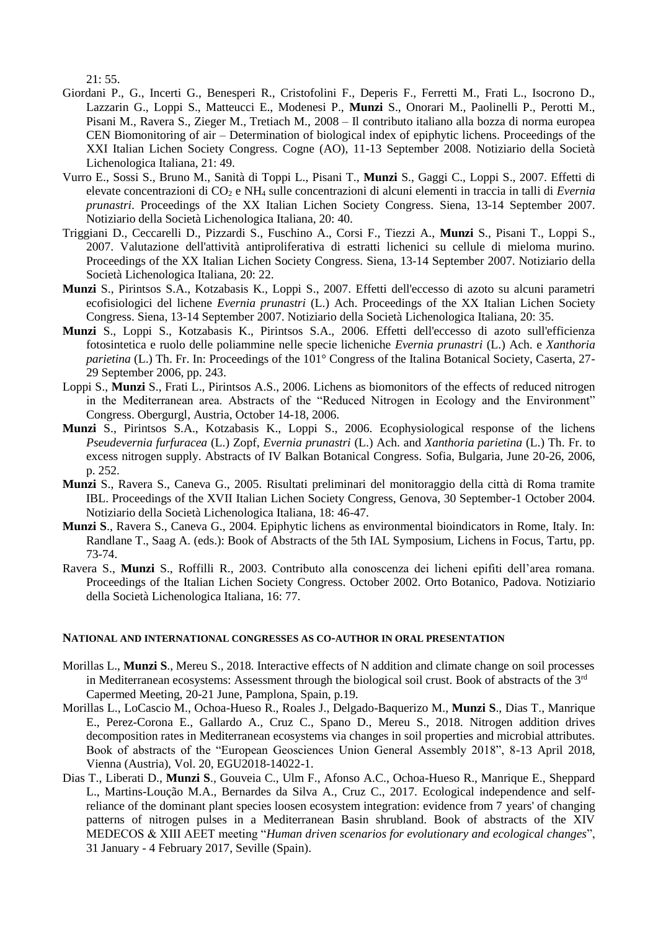21: 55.

- Giordani P., G., Incerti G., Benesperi R., Cristofolini F., Deperis F., Ferretti M., Frati L., Isocrono D., Lazzarin G., Loppi S., Matteucci E., Modenesi P., **Munzi** S., Onorari M., Paolinelli P., Perotti M., Pisani M., Ravera S., Zieger M., Tretiach M., 2008 – Il contributo italiano alla bozza di norma europea CEN Biomonitoring of air – Determination of biological index of epiphytic lichens. Proceedings of the XXI Italian Lichen Society Congress. Cogne (AO), 11-13 September 2008. Notiziario della Società Lichenologica Italiana, 21: 49.
- Vurro E., Sossi S., Bruno M., Sanità di Toppi L., Pisani T., **Munzi** S., Gaggi C., Loppi S., 2007. Effetti di elevate concentrazioni di CO<sub>2</sub> e NH<sub>4</sub> sulle concentrazioni di alcuni elementi in traccia in talli di *Evernia prunastri*. Proceedings of the XX Italian Lichen Society Congress. Siena, 13-14 September 2007. Notiziario della Società Lichenologica Italiana, 20: 40.
- Triggiani D., Ceccarelli D., Pizzardi S., Fuschino A., Corsi F., Tiezzi A., **Munzi** S., Pisani T., Loppi S., 2007. Valutazione dell'attività antiproliferativa di estratti lichenici su cellule di mieloma murino. Proceedings of the XX Italian Lichen Society Congress. Siena, 13-14 September 2007. Notiziario della Società Lichenologica Italiana, 20: 22.
- **Munzi** S., Pirintsos S.A., Kotzabasis K., Loppi S., 2007. Effetti dell'eccesso di azoto su alcuni parametri ecofisiologici del lichene *Evernia prunastri* (L.) Ach. Proceedings of the XX Italian Lichen Society Congress. Siena, 13-14 September 2007. Notiziario della Società Lichenologica Italiana, 20: 35.
- **Munzi** S., Loppi S., Kotzabasis K., Pirintsos S.A., 2006. Effetti dell'eccesso di azoto sull'efficienza fotosintetica e ruolo delle poliammine nelle specie licheniche *Evernia prunastri* (L.) Ach. e *Xanthoria parietina* (L.) Th. Fr. In: Proceedings of the 101<sup>°</sup> Congress of the Italina Botanical Society, Caserta, 27-29 September 2006, pp. 243.
- Loppi S., **Munzi** S., Frati L., Pirintsos A.S., 2006. Lichens as biomonitors of the effects of reduced nitrogen in the Mediterranean area. Abstracts of the "Reduced Nitrogen in Ecology and the Environment" Congress. Obergurgl, Austria, October 14-18, 2006.
- **Munzi** S., Pirintsos S.A., Kotzabasis K., Loppi S., 2006. Ecophysiological response of the lichens *Pseudevernia furfuracea* (L.) Zopf, *Evernia prunastri* (L.) Ach. and *Xanthoria parietina* (L.) Th. Fr. to excess nitrogen supply. Abstracts of IV Balkan Botanical Congress. Sofia, Bulgaria, June 20-26, 2006, p. 252.
- **Munzi** S., Ravera S., Caneva G., 2005. Risultati preliminari del monitoraggio della città di Roma tramite IBL. Proceedings of the XVII Italian Lichen Society Congress, Genova, 30 September-1 October 2004. Notiziario della Società Lichenologica Italiana, 18: 46-47.
- **Munzi S**., Ravera S., Caneva G., 2004. Epiphytic lichens as environmental bioindicators in Rome, Italy. In: Randlane T., Saag A. (eds.): Book of Abstracts of the 5th IAL Symposium, Lichens in Focus, Tartu, pp. 73-74.
- Ravera S., **Munzi** S., Roffilli R., 2003. Contributo alla conoscenza dei licheni epifiti dell'area romana. Proceedings of the Italian Lichen Society Congress. October 2002. Orto Botanico, Padova. Notiziario della Società Lichenologica Italiana, 16: 77.

#### **NATIONAL AND INTERNATIONAL CONGRESSES AS CO-AUTHOR IN ORAL PRESENTATION**

- Morillas L., **Munzi S**., Mereu S., 2018. Interactive effects of N addition and climate change on soil processes in Mediterranean ecosystems: Assessment through the biological soil crust. Book of abstracts of the 3<sup>rd</sup> Capermed Meeting, 20-21 June, Pamplona, Spain, p.19.
- Morillas L., LoCascio M., Ochoa-Hueso R., Roales J., Delgado-Baquerizo M., **Munzi S**., Dias T., Manrique E., Perez-Corona E., Gallardo A., Cruz C., Spano D., Mereu S., 2018. Nitrogen addition drives decomposition rates in Mediterranean ecosystems via changes in soil properties and microbial attributes. Book of abstracts of the "European Geosciences Union General Assembly 2018", 8-13 April 2018, Vienna (Austria), Vol. 20, EGU2018-14022-1.
- Dias T., Liberati D., **Munzi S**., Gouveia C., Ulm F., Afonso A.C., Ochoa-Hueso R., Manrique E., Sheppard L., Martins-Loução M.A., Bernardes da Silva A., Cruz C., 2017. Ecological independence and selfreliance of the dominant plant species loosen ecosystem integration: evidence from 7 years' of changing patterns of nitrogen pulses in a Mediterranean Basin shrubland. Book of abstracts of the XIV MEDECOS & XIII AEET meeting "*Human driven scenarios for evolutionary and ecological changes*", 31 January - 4 February 2017, Seville (Spain).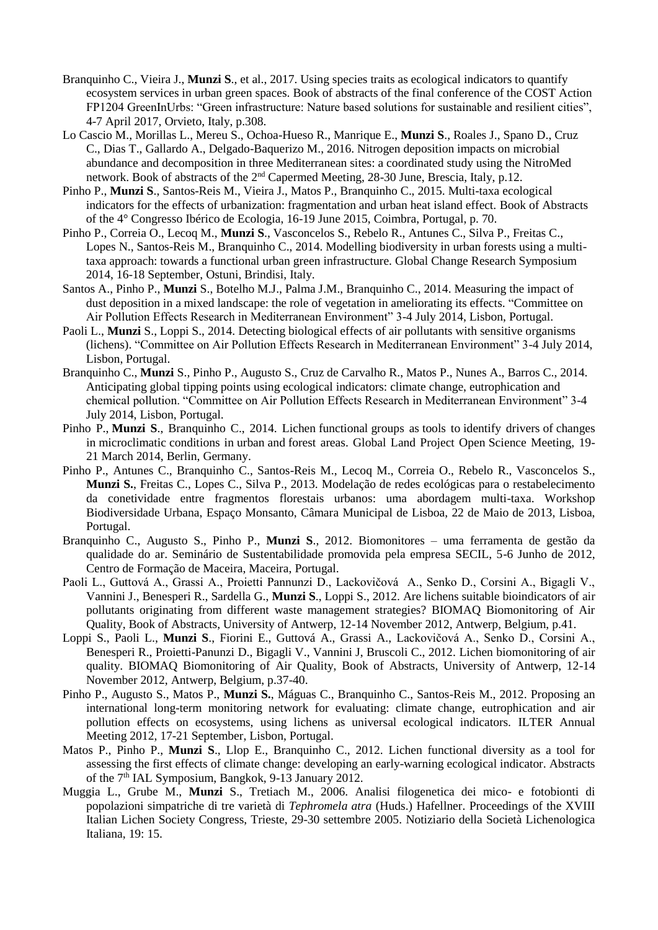- Branquinho C., Vieira J., **Munzi S**., et al., 2017. Using species traits as ecological indicators to quantify ecosystem services in urban green spaces. Book of abstracts of the final conference of the COST Action FP1204 GreenInUrbs: "Green infrastructure: Nature based solutions for sustainable and resilient cities", 4-7 April 2017, Orvieto, Italy, p.308.
- Lo Cascio M., Morillas L., Mereu S., Ochoa-Hueso R., Manrique E., **Munzi S**., Roales J., Spano D., Cruz C., Dias T., Gallardo A., Delgado-Baquerizo M., 2016. Nitrogen deposition impacts on microbial abundance and decomposition in three Mediterranean sites: a coordinated study using the NitroMed network. Book of abstracts of the 2nd Capermed Meeting, 28-30 June, Brescia, Italy, p.12.
- Pinho P., **Munzi S**., Santos-Reis M., Vieira J., Matos P., Branquinho C., 2015. Multi-taxa ecological indicators for the effects of urbanization: fragmentation and urban heat island effect. Book of Abstracts of the 4° Congresso Ibérico de Ecologia, 16-19 June 2015, Coimbra, Portugal, p. 70.
- Pinho P., Correia O., Lecoq M., **Munzi S**., Vasconcelos S., Rebelo R., Antunes C., Silva P., Freitas C., Lopes N., Santos-Reis M., Branquinho C., 2014. Modelling biodiversity in urban forests using a multitaxa approach: towards a functional urban green infrastructure. Global Change Research Symposium 2014, 16-18 September, Ostuni, Brindisi, Italy.
- Santos A., Pinho P., **Munzi** S., Botelho M.J., Palma J.M., Branquinho C., 2014. Measuring the impact of dust deposition in a mixed landscape: the role of vegetation in ameliorating its effects. "Committee on Air Pollution Effects Research in Mediterranean Environment" 3-4 July 2014, Lisbon, Portugal.
- Paoli L., **Munzi** S., Loppi S., 2014. Detecting biological effects of air pollutants with sensitive organisms (lichens). "Committee on Air Pollution Effects Research in Mediterranean Environment" 3-4 July 2014, Lisbon, Portugal.
- Branquinho C., **Munzi** S., Pinho P., Augusto S., Cruz de Carvalho R., Matos P., Nunes A., Barros C., 2014. Anticipating global tipping points using ecological indicators: climate change, eutrophication and chemical pollution. "Committee on Air Pollution Effects Research in Mediterranean Environment" 3-4 July 2014, Lisbon, Portugal.
- Pinho P., **Munzi S**., Branquinho C., 2014. Lichen functional groups as tools to identify drivers of changes in microclimatic conditions in urban and forest areas. Global Land Project Open Science Meeting, 19- 21 March 2014, Berlin, Germany.
- Pinho P., Antunes C., Branquinho C., Santos-Reis M., Lecoq M., Correia O., Rebelo R., Vasconcelos S., **Munzi S.**, Freitas C., Lopes C., Silva P., 2013. Modelação de redes ecológicas para o restabelecimento da conetividade entre fragmentos florestais urbanos: uma abordagem multi-taxa. Workshop Biodiversidade Urbana, Espaço Monsanto, Câmara Municipal de Lisboa, 22 de Maio de 2013, Lisboa, Portugal.
- Branquinho C., Augusto S., Pinho P., **Munzi S**., 2012. Biomonitores uma ferramenta de gestão da qualidade do ar. Seminário de Sustentabilidade promovida pela empresa SECIL, 5-6 Junho de 2012, Centro de Formação de Maceira, Maceira, Portugal.
- Paoli L., Guttová A., Grassi A., Proietti Pannunzi D., Lackovičová A., Senko D., Corsini A., Bigagli V., Vannini J., Benesperi R., Sardella G., **Munzi S**., Loppi S., 2012. Are lichens suitable bioindicators of air pollutants originating from different waste management strategies? BIOMAQ Biomonitoring of Air Quality, Book of Abstracts, University of Antwerp, 12-14 November 2012, Antwerp, Belgium, p.41.
- Loppi S., Paoli L., **Munzi S**., Fiorini E., Guttová A., Grassi A., Lackovičová A., Senko D., Corsini A., Benesperi R., Proietti-Panunzi D., Bigagli V., Vannini J, Bruscoli C., 2012. Lichen biomonitoring of air quality. BIOMAQ Biomonitoring of Air Quality, Book of Abstracts, University of Antwerp, 12-14 November 2012, Antwerp, Belgium, p.37-40.
- Pinho P., Augusto S., Matos P., **Munzi S.**, Máguas C., Branquinho C., Santos-Reis M., 2012. Proposing an international long-term monitoring network for evaluating: climate change, eutrophication and air pollution effects on ecosystems, using lichens as universal ecological indicators. ILTER Annual Meeting 2012, 17-21 September, Lisbon, Portugal.
- Matos P., Pinho P., **Munzi S**., Llop E., Branquinho C., 2012. Lichen functional diversity as a tool for assessing the first effects of climate change: developing an early-warning ecological indicator. Abstracts of the 7<sup>th</sup> IAL Symposium, Bangkok, 9-13 January 2012.
- Muggia L., Grube M., **Munzi** S., Tretiach M., 2006. Analisi filogenetica dei mico- e fotobionti di popolazioni simpatriche di tre varietà di *Tephromela atra* (Huds.) Hafellner. Proceedings of the XVIII Italian Lichen Society Congress, Trieste, 29-30 settembre 2005. Notiziario della Società Lichenologica Italiana, 19: 15.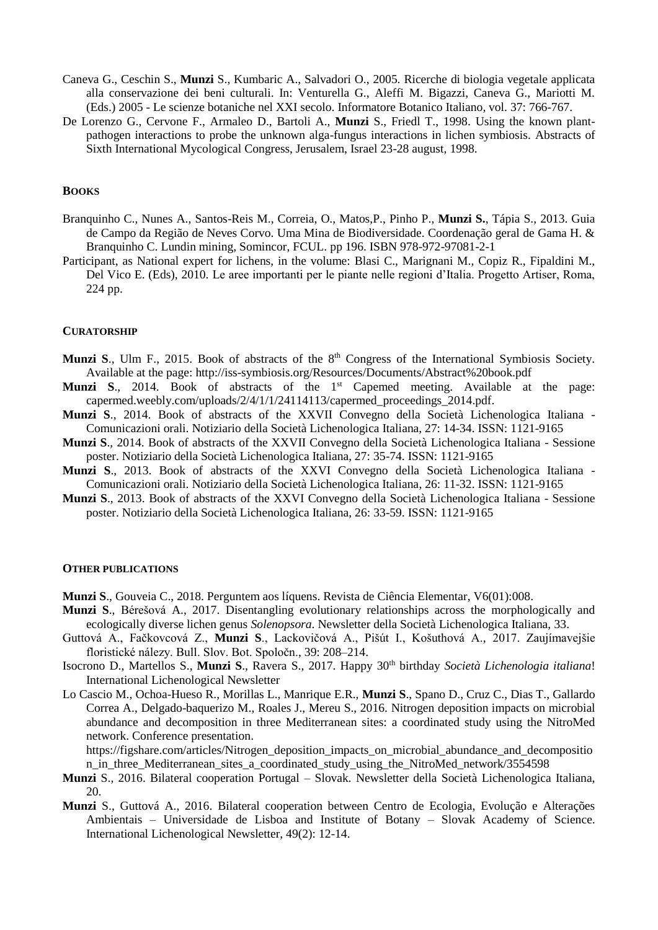- Caneva G., Ceschin S., **Munzi** S., Kumbaric A., Salvadori O., 2005. Ricerche di biologia vegetale applicata alla conservazione dei beni culturali. In: Venturella G., Aleffi M. Bigazzi, Caneva G., Mariotti M. (Eds.) 2005 - Le scienze botaniche nel XXI secolo. Informatore Botanico Italiano, vol. 37: 766-767.
- De Lorenzo G., Cervone F., Armaleo D., Bartoli A., **Munzi** S., Friedl T., 1998. Using the known plantpathogen interactions to probe the unknown alga-fungus interactions in lichen symbiosis. Abstracts of Sixth International Mycological Congress, Jerusalem, Israel 23-28 august, 1998.

## **BOOKS**

- Branquinho C., Nunes A., Santos-Reis M., Correia, O., Matos,P., Pinho P., **Munzi S.**, Tápia S., 2013. Guia de Campo da Região de Neves Corvo. Uma Mina de Biodiversidade. Coordenação geral de Gama H. & Branquinho C. Lundin mining, Somincor, FCUL. pp 196. ISBN 978-972-97081-2-1
- Participant, as National expert for lichens, in the volume: Blasi C., Marignani M., Copiz R., Fipaldini M., Del Vico E. (Eds), 2010. Le aree importanti per le piante nelle regioni d'Italia. Progetto Artiser, Roma, 224 pp.

#### **CURATORSHIP**

- **Munzi S., Ulm F., 2015. Book of abstracts of the 8<sup>th</sup> Congress of the International Symbiosis Society.** Available at the page: http://iss-symbiosis.org/Resources/Documents/Abstract%20book.pdf
- **Munzi S.**, 2014. Book of abstracts of the 1<sup>st</sup> Capemed meeting. Available at the page: capermed.weebly.com/uploads/2/4/1/1/24114113/capermed\_proceedings\_2014.pdf.
- **Munzi S**., 2014. Book of abstracts of the XXVII Convegno della Società Lichenologica Italiana Comunicazioni orali. Notiziario della Società Lichenologica Italiana, 27: 14-34. ISSN: 1121-9165
- **Munzi S**., 2014. Book of abstracts of the XXVII Convegno della Società Lichenologica Italiana Sessione poster. Notiziario della Società Lichenologica Italiana, 27: 35-74. ISSN: 1121-9165
- **Munzi S**., 2013. Book of abstracts of the XXVI Convegno della Società Lichenologica Italiana Comunicazioni orali. Notiziario della Società Lichenologica Italiana, 26: 11-32. ISSN: 1121-9165
- **Munzi S**., 2013. Book of abstracts of the XXVI Convegno della Società Lichenologica Italiana Sessione poster. Notiziario della Società Lichenologica Italiana, 26: 33-59. ISSN: 1121-9165

#### **OTHER PUBLICATIONS**

**Munzi S**., Gouveia C., 2018. Perguntem aos líquens. Revista de Ciência Elementar, V6(01):008.

- **Munzi S**., Bérešová A., 2017. Disentangling evolutionary relationships across the morphologically and ecologically diverse lichen genus *Solenopsora*. Newsletter della Società Lichenologica Italiana, 33.
- Guttová A., Fačkovcová Z., **Munzi S**., Lackovičová A., Pišút I., Košuthová A., 2017. Zaujímavejšie floristické nálezy. Bull. Slov. Bot. Spoločn., 39: 208–214.
- Isocrono D., Martellos S., **Munzi S**., Ravera S., 2017. Happy 30th birthday *Società Lichenologia italiana*! International Lichenological Newsletter
- [Lo Cascio](https://figshare.com/authors/_/2923206) M., Ochoa-Hueso R., Morillas L., Manrique E.R., **Munzi S**., Spano D., Cruz C., Dias T., Gallardo Correa A., [Delgado-baquerizo](https://figshare.com/authors/Manuel_Delgado_baquerizo/773080) M., Roales J., Mereu S., 2016. Nitrogen deposition impacts on microbial abundance and decomposition in three Mediterranean sites: a coordinated study using the NitroMed network. Conference presentation.

https://figshare.com/articles/Nitrogen\_deposition\_impacts\_on\_microbial\_abundance\_and\_decompositio n in three Mediterranean sites a coordinated study using the NitroMed network/3554598

- **Munzi** S., 2016. Bilateral cooperation Portugal Slovak. Newsletter della Società Lichenologica Italiana, 20.
- **Munzi** S., Guttová A., 2016. Bilateral cooperation between Centro de Ecologia, Evolução e Alterações Ambientais – Universidade de Lisboa and Institute of Botany – Slovak Academy of Science. International Lichenological Newsletter, 49(2): 12-14.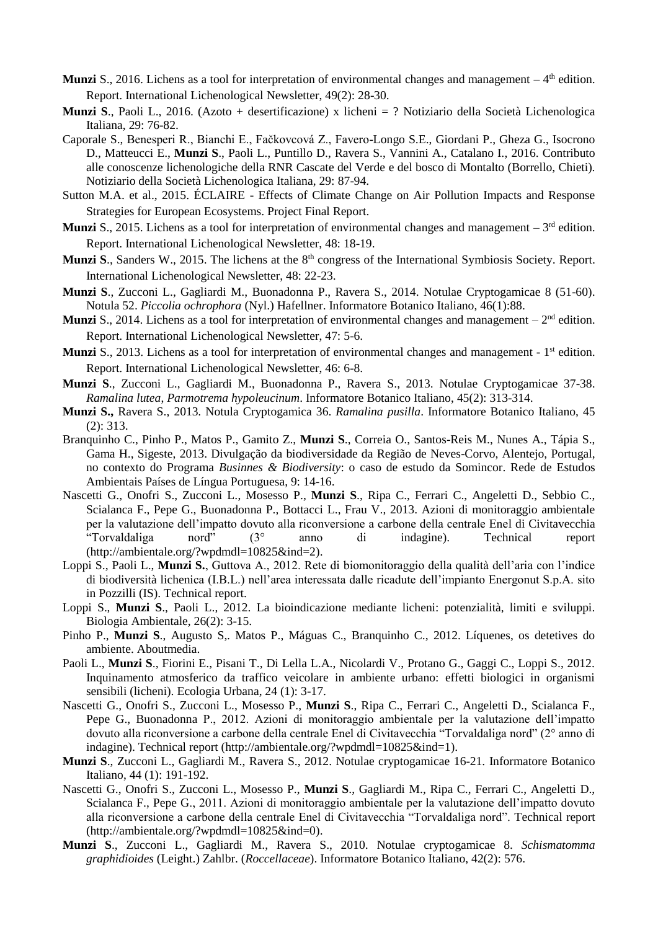- **Munzi** S., 2016. Lichens as a tool for interpretation of environmental changes and management  $-4<sup>th</sup>$  edition. Report. International Lichenological Newsletter, 49(2): 28-30.
- **Munzi S**., Paoli L., 2016. (Azoto + desertificazione) x licheni = ? Notiziario della Società Lichenologica Italiana, 29: 76-82.
- Caporale S., Benesperi R., Bianchi E., Fačkovcová Z., Favero-Longo S.E., Giordani P., Gheza G., Isocrono D., Matteucci E., **Munzi S**., Paoli L., Puntillo D., Ravera S., Vannini A., Catalano I., 2016. Contributo alle conoscenze lichenologiche della RNR Cascate del Verde e del bosco di Montalto (Borrello, Chieti). Notiziario della Società Lichenologica Italiana, 29: 87-94.
- Sutton M.A. et al., 2015. ÉCLAIRE Effects of Climate Change on Air Pollution Impacts and Response Strategies for European Ecosystems. Project Final Report.
- **Munzi** S., 2015. Lichens as a tool for interpretation of environmental changes and management  $-3<sup>rd</sup>$  edition. Report. International Lichenological Newsletter, 48: 18-19.
- **Munzi S., Sanders W., 2015.** The lichens at the 8<sup>th</sup> congress of the International Symbiosis Society. Report. International Lichenological Newsletter, 48: 22-23.
- **Munzi S**., Zucconi L., Gagliardi M., Buonadonna P., Ravera S., 2014. Notulae Cryptogamicae 8 (51-60). Notula 52. *Piccolia ochrophora* (Nyl.) Hafellner. Informatore Botanico Italiano, 46(1):88.
- **Munzi** S., 2014. Lichens as a tool for interpretation of environmental changes and management  $-2<sup>nd</sup>$  edition. Report. International Lichenological Newsletter, 47: 5-6.
- Munzi S., 2013. Lichens as a tool for interpretation of environmental changes and management 1<sup>st</sup> edition. Report. International Lichenological Newsletter, 46: 6-8.
- **Munzi S**., Zucconi L., Gagliardi M., Buonadonna P., Ravera S., 2013. Notulae Cryptogamicae 37-38. *Ramalina lutea*, *Parmotrema hypoleucinum*. Informatore Botanico Italiano, 45(2): 313-314.
- **Munzi S.,** Ravera S., 2013. Notula Cryptogamica 36. *Ramalina pusilla*. Informatore Botanico Italiano, 45 (2): 313.
- Branquinho C., Pinho P., Matos P., Gamito Z., **Munzi S**., Correia O., Santos-Reis M., Nunes A., Tápia S., Gama H., Sigeste, 2013. Divulgação da biodiversidade da Região de Neves-Corvo, Alentejo, Portugal, no contexto do Programa *Businnes & Biodiversity*: o caso de estudo da Somincor. Rede de Estudos Ambientais Países de Língua Portuguesa, 9: 14-16.
- Nascetti G., Onofri S., Zucconi L., Mosesso P., **Munzi S**., Ripa C., Ferrari C., Angeletti D., Sebbio C., Scialanca F., Pepe G., Buonadonna P., Bottacci L., Frau V., 2013. Azioni di monitoraggio ambientale per la valutazione dell'impatto dovuto alla riconversione a carbone della centrale Enel di Civitavecchia "Torvaldaliga nord" (3° anno di indagine). Technical report (http://ambientale.org/?wpdmdl=10825&ind=2).
- Loppi S., Paoli L., **Munzi S.**, Guttova A., 2012. Rete di biomonitoraggio della qualità dell'aria con l'indice di biodiversità lichenica (I.B.L.) nell'area interessata dalle ricadute dell'impianto Energonut S.p.A. sito in Pozzilli (IS). Technical report.
- Loppi S., **Munzi S**., Paoli L., 2012. La bioindicazione mediante licheni: potenzialità, limiti e sviluppi. Biologia Ambientale, 26(2): 3-15.
- Pinho P., **Munzi S**., Augusto S,. Matos P., Máguas C., Branquinho C., 2012. Líquenes, os detetives do ambiente. Aboutmedia.
- Paoli L., **Munzi S**., Fiorini E., Pisani T., Di Lella L.A., Nicolardi V., Protano G., Gaggi C., Loppi S., 2012. Inquinamento atmosferico da traffico veicolare in ambiente urbano: effetti biologici in organismi sensibili (licheni). Ecologia Urbana, 24 (1): 3-17.
- Nascetti G., Onofri S., Zucconi L., Mosesso P., **Munzi S**., Ripa C., Ferrari C., Angeletti D., Scialanca F., Pepe G., Buonadonna P., 2012. Azioni di monitoraggio ambientale per la valutazione dell'impatto dovuto alla riconversione a carbone della centrale Enel di Civitavecchia "Torvaldaliga nord" (2° anno di indagine). Technical report (http://ambientale.org/?wpdmdl=10825&ind=1).
- **Munzi S**., Zucconi L., Gagliardi M., Ravera S., 2012. Notulae cryptogamicae 16-21. Informatore Botanico Italiano, 44 (1): 191-192.
- Nascetti G., Onofri S., Zucconi L., Mosesso P., **Munzi S**., Gagliardi M., Ripa C., Ferrari C., Angeletti D., Scialanca F., Pepe G., 2011. Azioni di monitoraggio ambientale per la valutazione dell'impatto dovuto alla riconversione a carbone della centrale Enel di Civitavecchia "Torvaldaliga nord". Technical report (http://ambientale.org/?wpdmdl=10825&ind=0).
- **Munzi S**., Zucconi L., Gagliardi M., Ravera S., 2010. Notulae cryptogamicae 8. *Schismatomma graphidioides* (Leight.) Zahlbr. (*Roccellaceae*). Informatore Botanico Italiano, 42(2): 576.